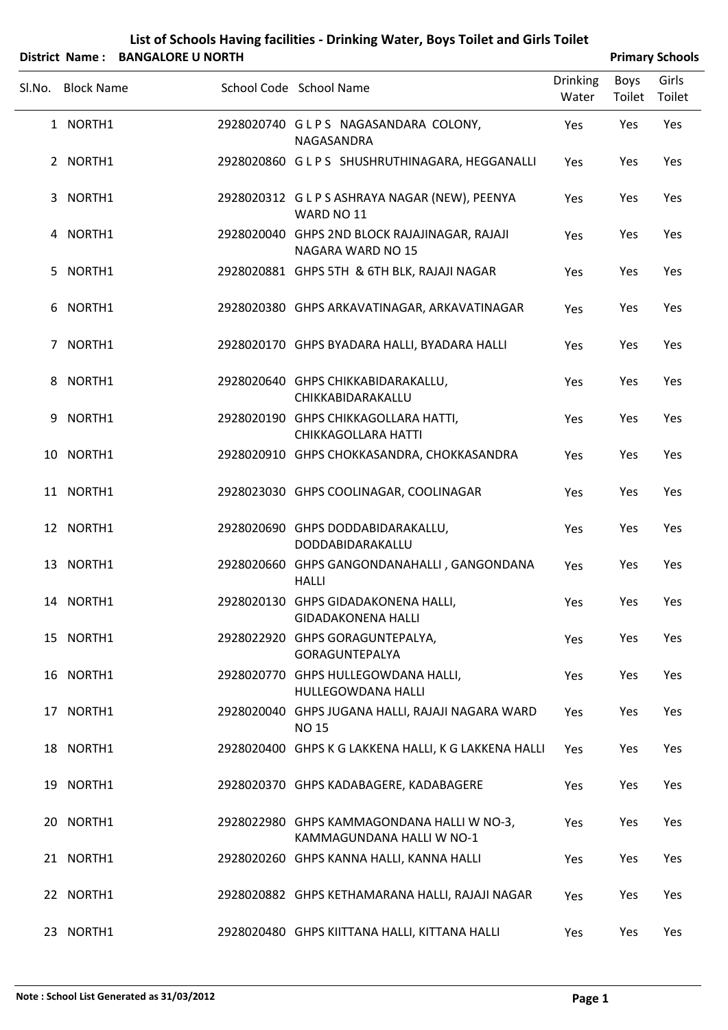|             |                   | District Name: BANGALORE U NORTH |                                                                         |                          |                | <b>Primary Schools</b> |
|-------------|-------------------|----------------------------------|-------------------------------------------------------------------------|--------------------------|----------------|------------------------|
| SI.No.      | <b>Block Name</b> |                                  | School Code School Name                                                 | <b>Drinking</b><br>Water | Boys<br>Toilet | Girls<br>Toilet        |
|             | 1 NORTH1          |                                  | 2928020740 GLPS NAGASANDARA COLONY,<br>NAGASANDRA                       | Yes                      | Yes            | Yes                    |
|             | 2 NORTH1          |                                  | 2928020860 GLPS SHUSHRUTHINAGARA, HEGGANALLI                            | Yes                      | Yes            | Yes                    |
|             | 3 NORTH1          |                                  | 2928020312 GLPS ASHRAYA NAGAR (NEW), PEENYA<br>WARD NO 11               | Yes                      | Yes            | Yes                    |
|             | 4 NORTH1          |                                  | 2928020040 GHPS 2ND BLOCK RAJAJINAGAR, RAJAJI<br>NAGARA WARD NO 15      | Yes                      | Yes            | Yes                    |
| 5.          | NORTH1            |                                  | 2928020881 GHPS 5TH & 6TH BLK, RAJAJI NAGAR                             | Yes                      | Yes            | Yes                    |
|             | 6 NORTH1          |                                  | 2928020380 GHPS ARKAVATINAGAR, ARKAVATINAGAR                            | Yes                      | Yes            | Yes                    |
| $7^{\circ}$ | NORTH1            |                                  | 2928020170 GHPS BYADARA HALLI, BYADARA HALLI                            | Yes                      | Yes            | Yes                    |
| 8           | NORTH1            |                                  | 2928020640 GHPS CHIKKABIDARAKALLU,<br>CHIKKABIDARAKALLU                 | Yes                      | Yes            | Yes                    |
| 9           | NORTH1            |                                  | 2928020190 GHPS CHIKKAGOLLARA HATTI,<br>CHIKKAGOLLARA HATTI             | Yes                      | Yes            | Yes                    |
|             | 10 NORTH1         |                                  | 2928020910 GHPS CHOKKASANDRA, CHOKKASANDRA                              | Yes                      | Yes            | Yes                    |
|             | 11 NORTH1         |                                  | 2928023030 GHPS COOLINAGAR, COOLINAGAR                                  | Yes                      | Yes            | Yes                    |
|             | 12 NORTH1         |                                  | 2928020690 GHPS DODDABIDARAKALLU,<br>DODDABIDARAKALLU                   | Yes                      | Yes            | Yes                    |
|             | 13 NORTH1         |                                  | 2928020660 GHPS GANGONDANAHALLI, GANGONDANA<br><b>HALLI</b>             | Yes                      | Yes            | Yes                    |
|             | 14 NORTH1         |                                  | 2928020130 GHPS GIDADAKONENA HALLI,<br><b>GIDADAKONENA HALLI</b>        | Yes                      | Yes            | Yes                    |
|             | 15 NORTH1         |                                  | 2928022920 GHPS GORAGUNTEPALYA,<br>GORAGUNTEPALYA                       | Yes                      | Yes            | Yes                    |
|             | 16 NORTH1         |                                  | 2928020770 GHPS HULLEGOWDANA HALLI,<br>HULLEGOWDANA HALLI               | Yes                      | Yes            | Yes                    |
|             | 17 NORTH1         |                                  | 2928020040 GHPS JUGANA HALLI, RAJAJI NAGARA WARD<br><b>NO 15</b>        | Yes                      | Yes            | Yes                    |
|             | 18 NORTH1         |                                  | 2928020400 GHPS K G LAKKENA HALLI, K G LAKKENA HALLI                    | Yes                      | Yes            | Yes                    |
|             | 19 NORTH1         |                                  | 2928020370 GHPS KADABAGERE, KADABAGERE                                  | Yes                      | Yes            | Yes                    |
|             | 20 NORTH1         |                                  | 2928022980 GHPS KAMMAGONDANA HALLI W NO-3,<br>KAMMAGUNDANA HALLI W NO-1 | Yes                      | Yes            | Yes                    |
|             | 21 NORTH1         |                                  | 2928020260 GHPS KANNA HALLI, KANNA HALLI                                | Yes                      | Yes            | Yes                    |
|             | 22 NORTH1         |                                  | 2928020882 GHPS KETHAMARANA HALLI, RAJAJI NAGAR                         | Yes                      | Yes            | Yes                    |
|             | 23 NORTH1         |                                  | 2928020480 GHPS KIITTANA HALLI, KITTANA HALLI                           | Yes                      | Yes            | Yes                    |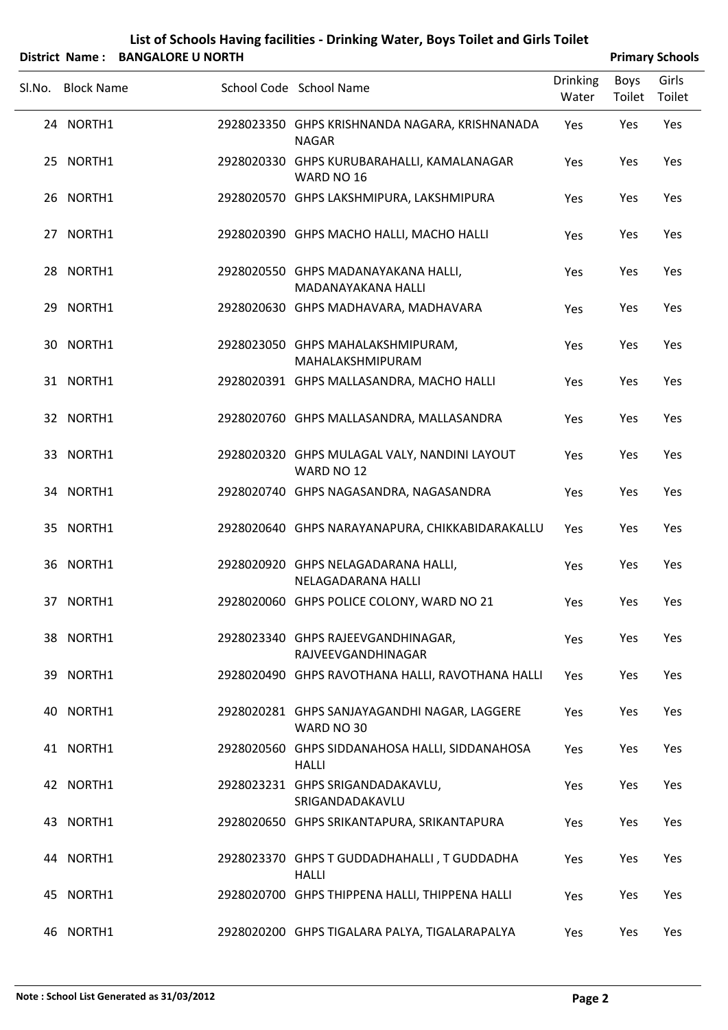| List of Schools Having facilities - Drinking Water, Boys Toilet and Girls Toilet |
|----------------------------------------------------------------------------------|
|                                                                                  |

|        | District Name: BANGALORE U NORTH |                                                                |                   |                | <b>Primary Schools</b> |
|--------|----------------------------------|----------------------------------------------------------------|-------------------|----------------|------------------------|
| Sl.No. | <b>Block Name</b>                | School Code School Name                                        | Drinking<br>Water | Boys<br>Toilet | Girls<br>Toilet        |
|        | 24 NORTH1                        | 2928023350 GHPS KRISHNANDA NAGARA, KRISHNANADA<br><b>NAGAR</b> | Yes               | Yes            | Yes                    |
|        | 25 NORTH1                        | 2928020330 GHPS KURUBARAHALLI, KAMALANAGAR<br>WARD NO 16       | Yes               | Yes            | Yes                    |
|        | 26 NORTH1                        | 2928020570 GHPS LAKSHMIPURA, LAKSHMIPURA                       | Yes               | Yes            | Yes                    |
|        | 27 NORTH1                        | 2928020390 GHPS MACHO HALLI, MACHO HALLI                       | Yes               | Yes            | Yes                    |
|        | 28 NORTH1                        | 2928020550 GHPS MADANAYAKANA HALLI,<br>MADANAYAKANA HALLI      | Yes               | Yes            | Yes                    |
|        | 29 NORTH1                        | 2928020630 GHPS MADHAVARA, MADHAVARA                           | Yes               | Yes            | Yes                    |
|        | 30 NORTH1                        | 2928023050 GHPS MAHALAKSHMIPURAM,<br>MAHALAKSHMIPURAM          | Yes               | Yes            | Yes                    |
|        | 31 NORTH1                        | 2928020391 GHPS MALLASANDRA, MACHO HALLI                       | Yes               | Yes            | Yes                    |
|        | 32 NORTH1                        | 2928020760 GHPS MALLASANDRA, MALLASANDRA                       | Yes               | Yes            | Yes                    |
|        | 33 NORTH1                        | 2928020320 GHPS MULAGAL VALY, NANDINI LAYOUT<br>WARD NO 12     | Yes               | Yes            | Yes                    |
|        | 34 NORTH1                        | 2928020740 GHPS NAGASANDRA, NAGASANDRA                         | Yes               | Yes            | Yes                    |
|        | 35 NORTH1                        | 2928020640 GHPS NARAYANAPURA, CHIKKABIDARAKALLU                | Yes               | Yes            | Yes                    |
|        | 36 NORTH1                        | 2928020920 GHPS NELAGADARANA HALLI,<br>NELAGADARANA HALLI      | Yes               | Yes            | Yes                    |
|        | 37 NORTH1                        | 2928020060 GHPS POLICE COLONY, WARD NO 21                      | Yes               | Yes            | Yes                    |
|        | 38 NORTH1                        | 2928023340 GHPS RAJEEVGANDHINAGAR,<br>RAJVEEVGANDHINAGAR       | Yes               | Yes            | Yes                    |
|        | 39 NORTH1                        | 2928020490 GHPS RAVOTHANA HALLI, RAVOTHANA HALLI               | Yes               | Yes            | Yes                    |
|        | 40 NORTH1                        | 2928020281 GHPS SANJAYAGANDHI NAGAR, LAGGERE<br>WARD NO 30     | Yes               | Yes            | Yes                    |
|        | 41 NORTH1                        | 2928020560 GHPS SIDDANAHOSA HALLI, SIDDANAHOSA<br><b>HALLI</b> | Yes               | Yes            | Yes                    |
|        | 42 NORTH1                        | 2928023231 GHPS SRIGANDADAKAVLU,<br>SRIGANDADAKAVLU            | Yes               | Yes            | Yes                    |
|        | 43 NORTH1                        | 2928020650 GHPS SRIKANTAPURA, SRIKANTAPURA                     | Yes               | Yes            | Yes                    |
|        | 44 NORTH1                        | 2928023370 GHPS T GUDDADHAHALLI, T GUDDADHA<br><b>HALLI</b>    | Yes               | Yes            | Yes                    |
|        | 45 NORTH1                        | 2928020700 GHPS THIPPENA HALLI, THIPPENA HALLI                 | Yes               | Yes            | Yes                    |
|        | 46 NORTH1                        | 2928020200 GHPS TIGALARA PALYA, TIGALARAPALYA                  | Yes               | Yes            | Yes                    |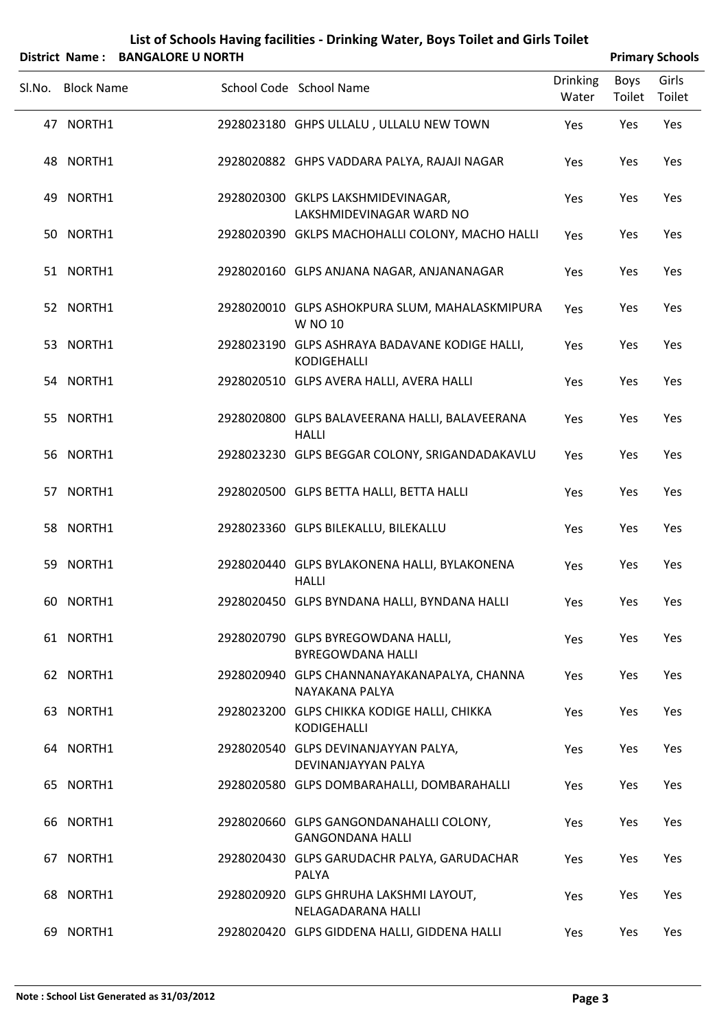|        |                       |                          | List of scribbis Having Tachities - Diffiking Water, Doys Tonet and Only Tonet |                          |      |                        |
|--------|-----------------------|--------------------------|--------------------------------------------------------------------------------|--------------------------|------|------------------------|
|        | <b>District Name:</b> | <b>BANGALORE U NORTH</b> |                                                                                |                          |      | <b>Primary Schools</b> |
| Sl.No. | <b>Block Name</b>     |                          | School Code School Name                                                        | <b>Drinking</b><br>Water | Boys | Girls<br>Toilet Toilet |
|        | 47 NORTH1             |                          | 2928023180 GHPS ULLALU, ULLALU NEW TOWN                                        | Yes                      | Yes  | Yes                    |
|        | 48 NORTH1             |                          | 2928020882 GHPS VADDARA PALYA, RAJAJI NAGAR                                    | Yes                      | Yes  | Yes                    |
|        | 49 NORTH1             |                          | 2928020300 GKLPS LAKSHMIDEVINAGAR,<br>LAKSHMIDEVINAGAR WARD NO                 | Yes                      | Yes  | Yes                    |
|        | 50 NORTH1             |                          | 2928020390 GKLPS MACHOHALLI COLONY, MACHO HALLI                                | Yes                      | Yes  | Yes                    |
|        | 51 NORTH1             |                          | 2928020160 GLPS ANJANA NAGAR, ANJANANAGAR                                      | Yes                      | Yes  | Yes                    |
|        | 52 NORTH1             |                          | 2928020010 GLPS ASHOKPURA SLUM, MAHALASKMIPURA<br>W NO 10                      | Yes                      | Yes  | Yes                    |
|        | 53 NORTH1             |                          | 2928023190 GLPS ASHRAYA BADAVANE KODIGE HALLI,<br><b>KODIGEHALLI</b>           | Yes                      | Yes  | Yes                    |
|        | 54 NORTH1             |                          | 2928020510 GLPS AVERA HALLI, AVERA HALLI                                       | Yes                      | Yes  | Yes                    |
|        | 55 NORTH1             |                          | 2928020800 GLPS BALAVEERANA HALLI, BALAVEERANA<br><b>HALLI</b>                 | Yes                      | Yes  | Yes                    |
|        | 56 NORTH1             |                          | 2928023230 GLPS BEGGAR COLONY, SRIGANDADAKAVLU                                 | Yes                      | Yes  | Yes                    |
|        | 57 NORTH1             |                          | 2928020500 GLPS BETTA HALLI, BETTA HALLI                                       | Yes                      | Yes  | Yes                    |
|        | 58 NORTH1             |                          | 2928023360 GLPS BILEKALLU, BILEKALLU                                           | Yes                      | Yes  | Yes                    |
| 59     | NORTH1                |                          | 2928020440 GLPS BYLAKONENA HALLI, BYLAKONENA<br><b>HALLI</b>                   | Yes                      | Yes  | Yes                    |
|        | 60 NORTH1             |                          | 2928020450 GLPS BYNDANA HALLI, BYNDANA HALLI                                   | Yes                      | Yes  | Yes                    |
|        | 61 NORTH1             |                          | 2928020790 GLPS BYREGOWDANA HALLI,<br><b>BYREGOWDANA HALLI</b>                 | Yes                      | Yes  | Yes                    |
|        | 62 NORTH1             |                          | 2928020940 GLPS CHANNANAYAKANAPALYA, CHANNA<br>NAYAKANA PALYA                  | Yes                      | Yes  | Yes                    |
| 63.    | NORTH1                |                          | 2928023200 GLPS CHIKKA KODIGE HALLI, CHIKKA<br>KODIGEHALLI                     | Yes                      | Yes  | Yes                    |

NORTH1 2928020540 GLPS DEVINANJAYYAN PALYA, 64 Yes Yes Yes DEVINANJAYYAN PALYA 65 NORTH1 2928020580 GLPS DOMBARAHALLI, DOMBARAHALLI Yes Yes Yes

NORTH1 2928020660 GLPS GANGONDANAHALLI COLONY, 66 Yes Yes Yes GANGONDANA HALLI NORTH1 2928020430 GLPS GARUDACHR PALYA, GARUDACHAR 67 Yes Yes Yes

PALYA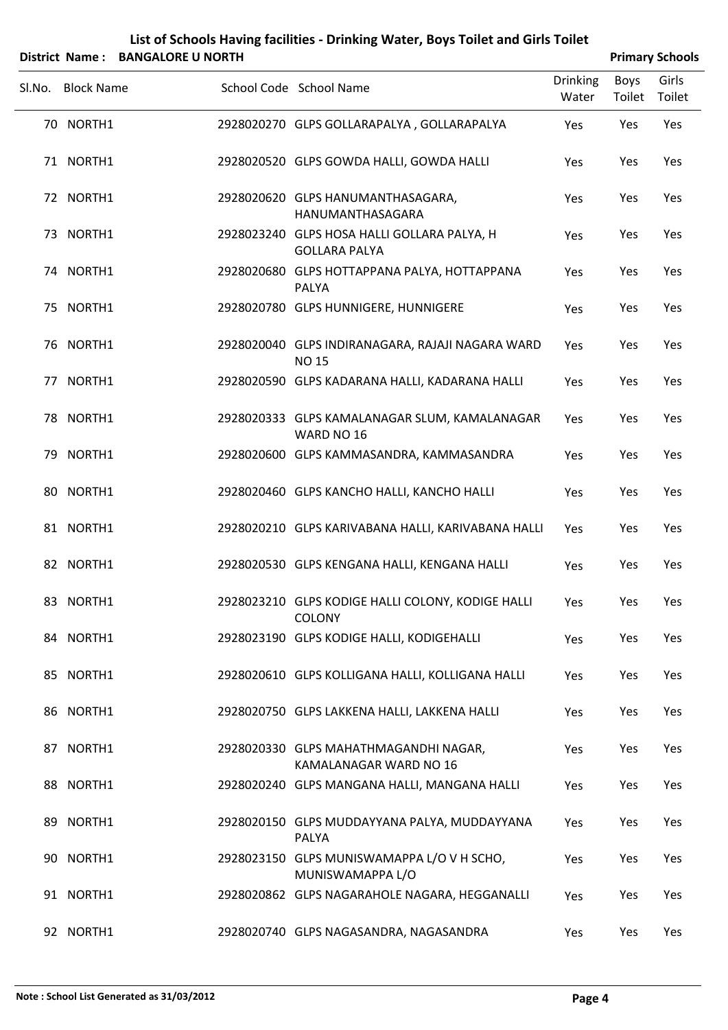|        |                   | DISTRUTION IN THE STANDALURE OF NURTH |                                                                            |                          | <b>Primary Scribbis</b> |                 |
|--------|-------------------|---------------------------------------|----------------------------------------------------------------------------|--------------------------|-------------------------|-----------------|
| Sl.No. | <b>Block Name</b> |                                       | School Code School Name                                                    | <b>Drinking</b><br>Water | Boys<br>Toilet          | Girls<br>Toilet |
|        | 70 NORTH1         |                                       | 2928020270 GLPS GOLLARAPALYA, GOLLARAPALYA                                 | Yes                      | Yes                     | Yes             |
|        | 71 NORTH1         |                                       | 2928020520 GLPS GOWDA HALLI, GOWDA HALLI                                   | Yes                      | Yes                     | Yes             |
|        | 72 NORTH1         |                                       | 2928020620 GLPS HANUMANTHASAGARA,<br>HANUMANTHASAGARA                      | Yes                      | Yes                     | Yes             |
|        | 73 NORTH1         |                                       | 2928023240 GLPS HOSA HALLI GOLLARA PALYA, H<br><b>GOLLARA PALYA</b>        | Yes                      | Yes                     | Yes             |
|        | 74 NORTH1         |                                       | 2928020680 GLPS HOTTAPPANA PALYA, HOTTAPPANA<br>PALYA                      | Yes                      | Yes                     | Yes             |
|        | 75 NORTH1         |                                       | 2928020780 GLPS HUNNIGERE, HUNNIGERE                                       | Yes                      | Yes                     | Yes             |
|        | 76 NORTH1         |                                       | 2928020040 GLPS INDIRANAGARA, RAJAJI NAGARA WARD<br><b>NO<sub>15</sub></b> | Yes                      | Yes                     | Yes             |
|        | 77 NORTH1         |                                       | 2928020590 GLPS KADARANA HALLI, KADARANA HALLI                             | Yes                      | Yes                     | Yes             |
|        | 78 NORTH1         |                                       | 2928020333 GLPS KAMALANAGAR SLUM, KAMALANAGAR<br>WARD NO 16                | Yes                      | Yes                     | Yes             |
|        | 79 NORTH1         |                                       | 2928020600 GLPS KAMMASANDRA, KAMMASANDRA                                   | Yes                      | Yes                     | Yes             |
|        | 80 NORTH1         |                                       | 2928020460 GLPS KANCHO HALLI, KANCHO HALLI                                 | Yes                      | Yes                     | Yes             |
|        | 81 NORTH1         |                                       | 2928020210 GLPS KARIVABANA HALLI, KARIVABANA HALLI                         | Yes                      | Yes                     | Yes             |
|        | 82 NORTH1         |                                       | 2928020530 GLPS KENGANA HALLI, KENGANA HALLI                               | Yes                      | Yes                     | Yes             |
|        | 83 NORTH1         |                                       | 2928023210 GLPS KODIGE HALLI COLONY, KODIGE HALLI<br><b>COLONY</b>         | Yes                      | Yes                     | Yes             |
|        | 84 NORTH1         |                                       | 2928023190 GLPS KODIGE HALLI, KODIGEHALLI                                  | Yes                      | Yes                     | Yes             |
|        | 85 NORTH1         |                                       | 2928020610 GLPS KOLLIGANA HALLI, KOLLIGANA HALLI                           | Yes                      | Yes                     | Yes             |
|        | 86 NORTH1         |                                       | 2928020750 GLPS LAKKENA HALLI, LAKKENA HALLI                               | Yes                      | Yes                     | Yes             |
| 87     | NORTH1            |                                       | 2928020330 GLPS MAHATHMAGANDHI NAGAR,<br>KAMALANAGAR WARD NO 16            | Yes                      | Yes                     | Yes             |
|        | 88 NORTH1         |                                       | 2928020240 GLPS MANGANA HALLI, MANGANA HALLI                               | Yes                      | Yes                     | Yes             |
| 89.    | NORTH1            |                                       | 2928020150 GLPS MUDDAYYANA PALYA, MUDDAYYANA<br>PALYA                      | Yes                      | Yes                     | Yes             |
| 90.    | NORTH1            |                                       | 2928023150 GLPS MUNISWAMAPPA L/O V H SCHO,<br>MUNISWAMAPPA L/O             | Yes                      | Yes                     | Yes             |

91 NORTH1 2928020862 GLPS NAGARAHOLE NAGARA, HEGGANALLI Yes Yes Yes

92 NORTH1 2928020740 GLPS NAGASANDRA, NAGASANDRA Yes Yes Yes

#### **List of Schools Having facilities ‐ Drinking Water, Boys Toilet and Girls Toilet District** Name: **BANGALORE U NORTH Primary** Schools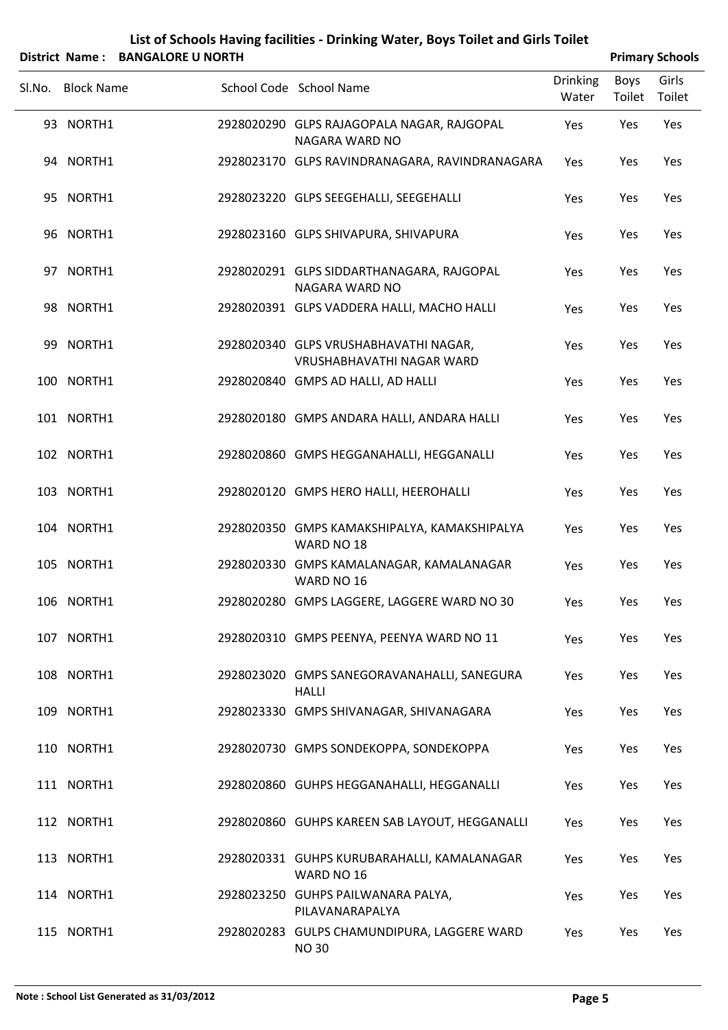| List of Schools Having facilities - Drinking Water, Boys Toilet and Girls Toilet              |
|-----------------------------------------------------------------------------------------------|
| $\mathbf{A}$ . The contract of $\mathbf{A}$ is a set of $\mathbf{A}$ is a set of $\mathbf{A}$ |

|        | District Name: BANGALORE U NORTH |                                                                    |                          |                | <b>Primary Schools</b> |
|--------|----------------------------------|--------------------------------------------------------------------|--------------------------|----------------|------------------------|
| Sl.No. | <b>Block Name</b>                | School Code School Name                                            | <b>Drinking</b><br>Water | Boys<br>Toilet | Girls<br>Toilet        |
|        | 93 NORTH1                        | 2928020290 GLPS RAJAGOPALA NAGAR, RAJGOPAL<br>NAGARA WARD NO       | Yes                      | Yes            | Yes                    |
|        | 94 NORTH1                        | 2928023170 GLPS RAVINDRANAGARA, RAVINDRANAGARA                     | Yes                      | Yes            | Yes                    |
|        | 95 NORTH1                        | 2928023220 GLPS SEEGEHALLI, SEEGEHALLI                             | Yes                      | Yes            | Yes                    |
|        | 96 NORTH1                        | 2928023160 GLPS SHIVAPURA, SHIVAPURA                               | Yes                      | Yes            | Yes                    |
|        | 97 NORTH1                        | 2928020291 GLPS SIDDARTHANAGARA, RAJGOPAL<br>NAGARA WARD NO        | Yes                      | Yes            | Yes                    |
|        | 98 NORTH1                        | 2928020391 GLPS VADDERA HALLI, MACHO HALLI                         | Yes                      | Yes            | Yes                    |
|        | 99 NORTH1                        | 2928020340 GLPS VRUSHABHAVATHI NAGAR,<br>VRUSHABHAVATHI NAGAR WARD | Yes                      | Yes            | Yes                    |
|        | 100 NORTH1                       | 2928020840 GMPS AD HALLI, AD HALLI                                 | Yes                      | Yes            | Yes                    |
|        | 101 NORTH1                       | 2928020180 GMPS ANDARA HALLI, ANDARA HALLI                         | Yes                      | Yes            | Yes                    |
|        | 102 NORTH1                       | 2928020860 GMPS HEGGANAHALLI, HEGGANALLI                           | Yes                      | Yes            | Yes                    |
|        | 103 NORTH1                       | 2928020120 GMPS HERO HALLI, HEEROHALLI                             | Yes                      | Yes            | Yes                    |
|        | 104 NORTH1                       | 2928020350 GMPS KAMAKSHIPALYA, KAMAKSHIPALYA<br>WARD NO 18         | Yes                      | Yes            | Yes                    |
|        | 105 NORTH1                       | 2928020330 GMPS KAMALANAGAR, KAMALANAGAR<br>WARD NO 16             | Yes                      | Yes            | Yes                    |
|        | 106 NORTH1                       | 2928020280 GMPS LAGGERE, LAGGERE WARD NO 30                        | Yes                      | Yes            | Yes                    |
|        | 107 NORTH1                       | 2928020310 GMPS PEENYA, PEENYA WARD NO 11                          | Yes                      | Yes            | Yes                    |
|        | 108 NORTH1                       | 2928023020 GMPS SANEGORAVANAHALLI, SANEGURA<br><b>HALLI</b>        | Yes                      | Yes            | Yes                    |
|        | 109 NORTH1                       | 2928023330 GMPS SHIVANAGAR, SHIVANAGARA                            | Yes                      | Yes            | Yes                    |
|        | 110 NORTH1                       | 2928020730 GMPS SONDEKOPPA, SONDEKOPPA                             | Yes                      | Yes            | Yes                    |
|        | 111 NORTH1                       | 2928020860 GUHPS HEGGANAHALLI, HEGGANALLI                          | Yes                      | Yes            | Yes                    |
|        | 112 NORTH1                       | 2928020860 GUHPS KAREEN SAB LAYOUT, HEGGANALLI                     | Yes                      | Yes            | Yes                    |
|        | 113 NORTH1                       | 2928020331 GUHPS KURUBARAHALLI, KAMALANAGAR<br>WARD NO 16          | Yes                      | Yes            | Yes                    |
|        | 114 NORTH1                       | 2928023250 GUHPS PAILWANARA PALYA,<br>PILAVANARAPALYA              | Yes                      | Yes            | Yes                    |
|        | 115 NORTH1                       | 2928020283 GULPS CHAMUNDIPURA, LAGGERE WARD<br><b>NO30</b>         | Yes                      | Yes            | Yes                    |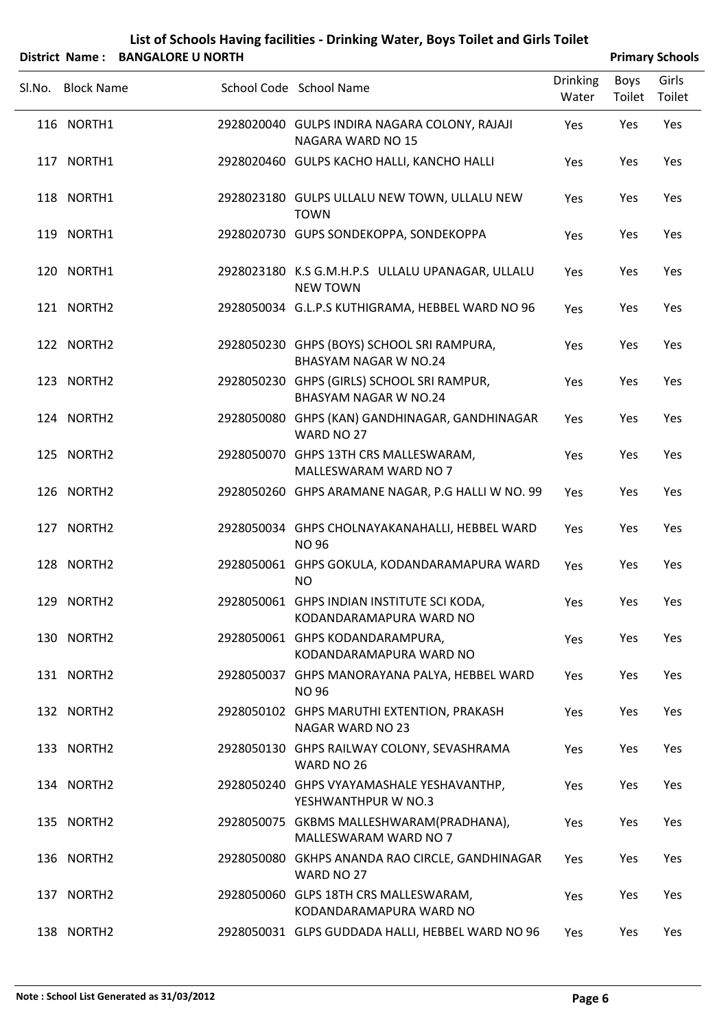|        |                   | District Name: BANGALORE U NORTH |                                                                            |                          |                | <b>Primary Schools</b> |
|--------|-------------------|----------------------------------|----------------------------------------------------------------------------|--------------------------|----------------|------------------------|
| Sl.No. | <b>Block Name</b> |                                  | School Code School Name                                                    | <b>Drinking</b><br>Water | Boys<br>Toilet | Girls<br>Toilet        |
|        | 116 NORTH1        |                                  | 2928020040 GULPS INDIRA NAGARA COLONY, RAJAJI<br>NAGARA WARD NO 15         | Yes                      | Yes            | Yes                    |
|        | 117 NORTH1        |                                  | 2928020460 GULPS KACHO HALLI, KANCHO HALLI                                 | Yes                      | Yes            | Yes                    |
|        | 118 NORTH1        |                                  | 2928023180 GULPS ULLALU NEW TOWN, ULLALU NEW<br><b>TOWN</b>                | Yes                      | Yes            | Yes                    |
|        | 119 NORTH1        |                                  | 2928020730 GUPS SONDEKOPPA, SONDEKOPPA                                     | Yes                      | Yes            | Yes                    |
|        | 120 NORTH1        |                                  | 2928023180 K.S G.M.H.P.S ULLALU UPANAGAR, ULLALU<br><b>NEW TOWN</b>        | Yes                      | Yes            | Yes                    |
|        | 121 NORTH2        |                                  | 2928050034 G.L.P.S KUTHIGRAMA, HEBBEL WARD NO 96                           | Yes                      | Yes            | Yes                    |
|        | 122 NORTH2        |                                  | 2928050230 GHPS (BOYS) SCHOOL SRI RAMPURA,<br><b>BHASYAM NAGAR W NO.24</b> | Yes                      | Yes            | Yes                    |
|        | 123 NORTH2        |                                  | 2928050230 GHPS (GIRLS) SCHOOL SRI RAMPUR,<br><b>BHASYAM NAGAR W NO.24</b> | Yes                      | Yes            | Yes                    |
|        | 124 NORTH2        |                                  | 2928050080 GHPS (KAN) GANDHINAGAR, GANDHINAGAR<br>WARD NO 27               | Yes                      | Yes            | Yes                    |
|        | 125 NORTH2        |                                  | 2928050070 GHPS 13TH CRS MALLESWARAM,<br>MALLESWARAM WARD NO 7             | Yes                      | Yes            | Yes                    |
|        | 126 NORTH2        |                                  | 2928050260 GHPS ARAMANE NAGAR, P.G HALLI W NO. 99                          | Yes                      | Yes            | Yes                    |
|        | 127 NORTH2        |                                  | 2928050034 GHPS CHOLNAYAKANAHALLI, HEBBEL WARD<br><b>NO 96</b>             | Yes                      | Yes            | Yes                    |
|        | 128 NORTH2        |                                  | 2928050061 GHPS GOKULA, KODANDARAMAPURA WARD<br><b>NO</b>                  | Yes                      | Yes            | Yes                    |
|        | 129 NORTH2        |                                  | 2928050061 GHPS INDIAN INSTITUTE SCI KODA,<br>KODANDARAMAPURA WARD NO      | Yes                      | Yes            | Yes                    |
|        | 130 NORTH2        |                                  | 2928050061 GHPS KODANDARAMPURA,<br>KODANDARAMAPURA WARD NO                 | Yes                      | Yes            | Yes                    |
|        | 131 NORTH2        |                                  | 2928050037 GHPS MANORAYANA PALYA, HEBBEL WARD<br><b>NO 96</b>              | Yes                      | Yes            | Yes                    |
|        | 132 NORTH2        |                                  | 2928050102 GHPS MARUTHI EXTENTION, PRAKASH<br><b>NAGAR WARD NO 23</b>      | Yes                      | Yes            | Yes                    |
|        | 133 NORTH2        |                                  | 2928050130 GHPS RAILWAY COLONY, SEVASHRAMA<br>WARD NO 26                   | Yes                      | Yes            | Yes                    |
|        | 134 NORTH2        |                                  | 2928050240 GHPS VYAYAMASHALE YESHAVANTHP,<br>YESHWANTHPUR W NO.3           | Yes                      | Yes            | Yes                    |
|        | 135 NORTH2        |                                  | 2928050075 GKBMS MALLESHWARAM(PRADHANA),<br>MALLESWARAM WARD NO 7          | <b>Yes</b>               | Yes            | Yes                    |
|        | 136 NORTH2        |                                  | 2928050080 GKHPS ANANDA RAO CIRCLE, GANDHINAGAR<br>WARD NO 27              | Yes                      | Yes            | Yes                    |
|        | 137 NORTH2        |                                  | 2928050060 GLPS 18TH CRS MALLESWARAM,<br>KODANDARAMAPURA WARD NO           | Yes                      | Yes            | Yes                    |
|        | 138 NORTH2        |                                  | 2928050031 GLPS GUDDADA HALLI, HEBBEL WARD NO 96                           | Yes                      | Yes            | Yes                    |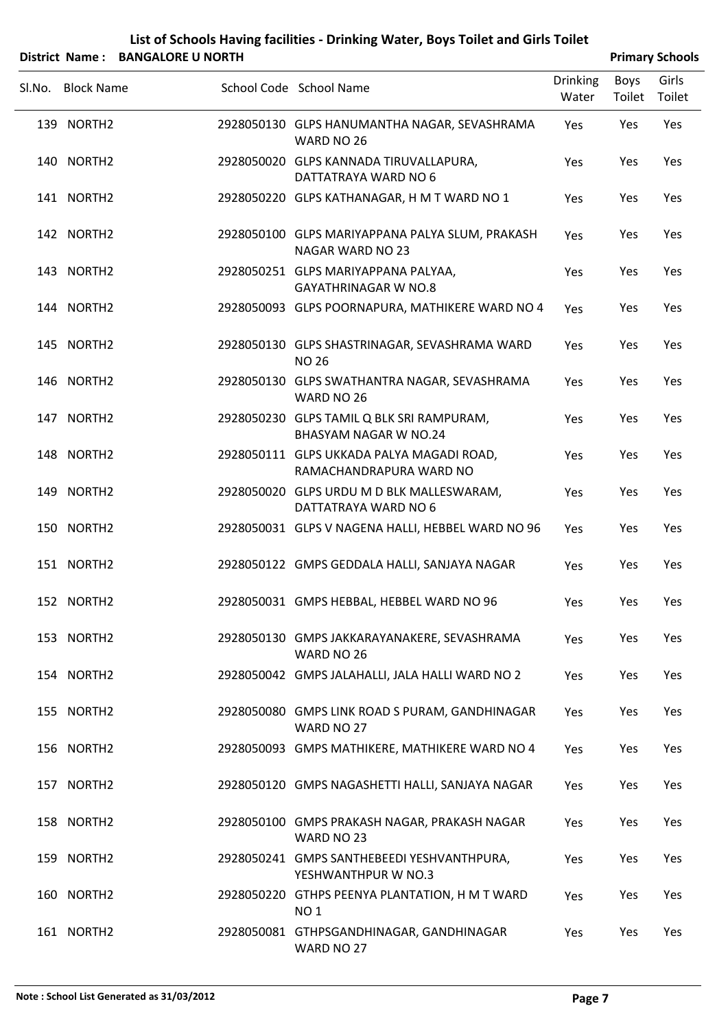| District Name: BANGALORE U NORTH |                                                                           |                          |                | <b>Primary Schools</b> |
|----------------------------------|---------------------------------------------------------------------------|--------------------------|----------------|------------------------|
| SI.No. Block Name                | School Code School Name                                                   | <b>Drinking</b><br>Water | Boys<br>Toilet | Girls<br>Toilet        |
| 139 NORTH2                       | 2928050130 GLPS HANUMANTHA NAGAR, SEVASHRAMA<br>WARD NO 26                | Yes                      | Yes            | Yes                    |
| 140 NORTH2                       | 2928050020 GLPS KANNADA TIRUVALLAPURA,<br>DATTATRAYA WARD NO 6            | Yes                      | Yes            | Yes                    |
| 141 NORTH2                       | 2928050220 GLPS KATHANAGAR, H M T WARD NO 1                               | <b>Yes</b>               | Yes            | Yes                    |
| 142 NORTH2                       | 2928050100 GLPS MARIYAPPANA PALYA SLUM, PRAKASH<br>NAGAR WARD NO 23       | Yes                      | Yes            | Yes                    |
| 143 NORTH2                       | 2928050251 GLPS MARIYAPPANA PALYAA,<br><b>GAYATHRINAGAR W NO.8</b>        | Yes                      | Yes            | Yes                    |
| 144 NORTH2                       | 2928050093 GLPS POORNAPURA, MATHIKERE WARD NO 4                           | Yes                      | Yes            | Yes                    |
| 145 NORTH2                       | 2928050130 GLPS SHASTRINAGAR, SEVASHRAMA WARD<br><b>NO 26</b>             | Yes                      | Yes            | Yes                    |
| 146 NORTH2                       | 2928050130 GLPS SWATHANTRA NAGAR, SEVASHRAMA<br>WARD NO 26                | Yes                      | Yes            | Yes                    |
| 147 NORTH2                       | 2928050230 GLPS TAMIL Q BLK SRI RAMPURAM,<br><b>BHASYAM NAGAR W NO.24</b> | Yes                      | Yes            | Yes                    |
| 148 NORTH2                       | 2928050111 GLPS UKKADA PALYA MAGADI ROAD,<br>RAMACHANDRAPURA WARD NO      | Yes                      | Yes            | Yes                    |
| 149 NORTH2                       | 2928050020 GLPS URDU M D BLK MALLESWARAM,<br>DATTATRAYA WARD NO 6         | Yes                      | Yes            | Yes                    |
| 150 NORTH2                       | 2928050031 GLPS V NAGENA HALLI, HEBBEL WARD NO 96                         | Yes                      | Yes            | Yes                    |
| 151 NORTH2                       | 2928050122 GMPS GEDDALA HALLI, SANJAYA NAGAR                              | Yes                      | Yes            | Yes                    |
| 152 NORTH2                       | 2928050031 GMPS HEBBAL, HEBBEL WARD NO 96                                 | Yes                      | Yes            | Yes                    |
| 153 NORTH2                       | 2928050130 GMPS JAKKARAYANAKERE, SEVASHRAMA<br>WARD NO 26                 | Yes                      | Yes            | Yes                    |
| 154 NORTH2                       | 2928050042 GMPS JALAHALLI, JALA HALLI WARD NO 2                           | Yes                      | Yes            | Yes                    |
| 155 NORTH2                       | 2928050080 GMPS LINK ROAD S PURAM, GANDHINAGAR<br>WARD NO 27              | Yes                      | Yes            | Yes                    |
| 156 NORTH2                       | 2928050093 GMPS MATHIKERE, MATHIKERE WARD NO 4                            | Yes                      | Yes            | Yes                    |
| 157 NORTH2                       | 2928050120 GMPS NAGASHETTI HALLI, SANJAYA NAGAR                           | Yes                      | Yes            | Yes                    |
| 158 NORTH2                       | 2928050100 GMPS PRAKASH NAGAR, PRAKASH NAGAR<br>WARD NO 23                | Yes                      | Yes            | Yes                    |
| 159 NORTH2                       | 2928050241 GMPS SANTHEBEEDI YESHVANTHPURA,<br>YESHWANTHPUR W NO.3         | Yes                      | Yes            | Yes                    |
| 160 NORTH2                       | 2928050220 GTHPS PEENYA PLANTATION, H M T WARD<br><b>NO1</b>              | Yes                      | Yes            | Yes                    |
| 161 NORTH2                       | 2928050081 GTHPSGANDHINAGAR, GANDHINAGAR<br>WARD NO 27                    | Yes                      | Yes            | Yes                    |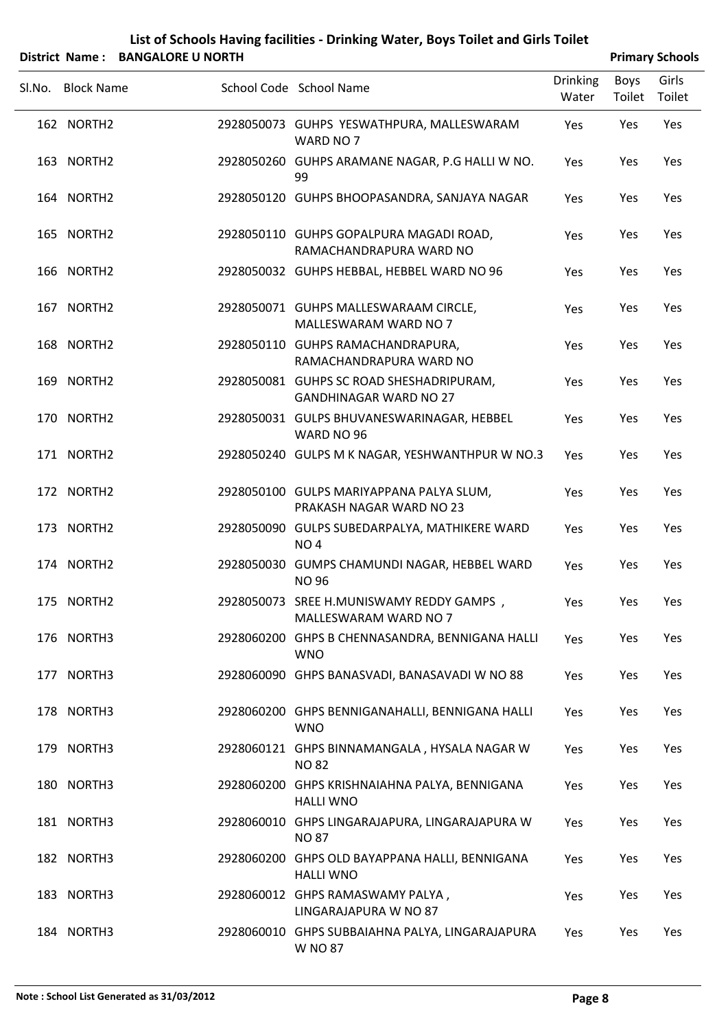|        |                   | District Name: BANGALORE U NORTH |                                                                           |                          |                | <b>Primary Schools</b> |
|--------|-------------------|----------------------------------|---------------------------------------------------------------------------|--------------------------|----------------|------------------------|
| Sl.No. | <b>Block Name</b> |                                  | School Code School Name                                                   | <b>Drinking</b><br>Water | Boys<br>Toilet | Girls<br>Toilet        |
|        | 162 NORTH2        |                                  | 2928050073 GUHPS YESWATHPURA, MALLESWARAM<br>WARD NO 7                    | Yes                      | Yes            | Yes                    |
|        | 163 NORTH2        |                                  | 2928050260 GUHPS ARAMANE NAGAR, P.G HALLI W NO.<br>99                     | Yes                      | Yes            | Yes                    |
|        | 164 NORTH2        |                                  | 2928050120 GUHPS BHOOPASANDRA, SANJAYA NAGAR                              | Yes                      | Yes            | Yes                    |
|        | 165 NORTH2        |                                  | 2928050110 GUHPS GOPALPURA MAGADI ROAD,<br>RAMACHANDRAPURA WARD NO        | Yes                      | Yes            | Yes                    |
|        | 166 NORTH2        |                                  | 2928050032 GUHPS HEBBAL, HEBBEL WARD NO 96                                | Yes                      | Yes            | Yes                    |
|        | 167 NORTH2        |                                  | 2928050071 GUHPS MALLESWARAAM CIRCLE,<br>MALLESWARAM WARD NO 7            | Yes                      | Yes            | Yes                    |
|        | 168 NORTH2        |                                  | 2928050110 GUHPS RAMACHANDRAPURA,<br>RAMACHANDRAPURA WARD NO              | Yes                      | Yes            | Yes                    |
|        | 169 NORTH2        |                                  | 2928050081 GUHPS SC ROAD SHESHADRIPURAM,<br><b>GANDHINAGAR WARD NO 27</b> | Yes                      | Yes            | Yes                    |
|        | 170 NORTH2        |                                  | 2928050031 GULPS BHUVANESWARINAGAR, HEBBEL<br>WARD NO 96                  | Yes                      | Yes            | Yes                    |
|        | 171 NORTH2        |                                  | 2928050240 GULPS M K NAGAR, YESHWANTHPUR W NO.3                           | Yes                      | Yes            | Yes                    |
|        | 172 NORTH2        |                                  | 2928050100 GULPS MARIYAPPANA PALYA SLUM,<br>PRAKASH NAGAR WARD NO 23      | Yes                      | Yes            | Yes                    |
|        | 173 NORTH2        |                                  | 2928050090 GULPS SUBEDARPALYA, MATHIKERE WARD<br>NO <sub>4</sub>          | Yes                      | Yes            | Yes                    |
|        | 174 NORTH2        |                                  | 2928050030 GUMPS CHAMUNDI NAGAR, HEBBEL WARD<br><b>NO 96</b>              | Yes                      | Yes            | Yes                    |
|        | 175 NORTH2        |                                  | 2928050073 SREE H.MUNISWAMY REDDY GAMPS,<br>MALLESWARAM WARD NO 7         | Yes                      | Yes            | Yes                    |
|        | 176 NORTH3        |                                  | 2928060200 GHPS B CHENNASANDRA, BENNIGANA HALLI<br><b>WNO</b>             | Yes                      | Yes            | Yes                    |
|        | 177 NORTH3        |                                  | 2928060090 GHPS BANASVADI, BANASAVADI W NO 88                             | Yes                      | Yes            | Yes                    |
|        | 178 NORTH3        |                                  | 2928060200 GHPS BENNIGANAHALLI, BENNIGANA HALLI<br><b>WNO</b>             | Yes                      | Yes            | Yes                    |
|        | 179 NORTH3        |                                  | 2928060121 GHPS BINNAMANGALA, HYSALA NAGAR W<br><b>NO 82</b>              | Yes                      | Yes            | Yes                    |
|        | 180 NORTH3        |                                  | 2928060200 GHPS KRISHNAIAHNA PALYA, BENNIGANA<br><b>HALLI WNO</b>         | Yes                      | Yes            | Yes                    |
|        | 181 NORTH3        |                                  | 2928060010 GHPS LINGARAJAPURA, LINGARAJAPURA W<br><b>NO 87</b>            | Yes                      | Yes            | Yes                    |
|        | 182 NORTH3        |                                  | 2928060200 GHPS OLD BAYAPPANA HALLI, BENNIGANA<br><b>HALLI WNO</b>        | Yes                      | Yes            | Yes                    |
|        | 183 NORTH3        |                                  | 2928060012 GHPS RAMASWAMY PALYA,<br>LINGARAJAPURA W NO 87                 | Yes                      | Yes            | Yes                    |
|        | 184 NORTH3        |                                  | 2928060010 GHPS SUBBAIAHNA PALYA, LINGARAJAPURA<br>W NO 87                | Yes                      | Yes            | Yes                    |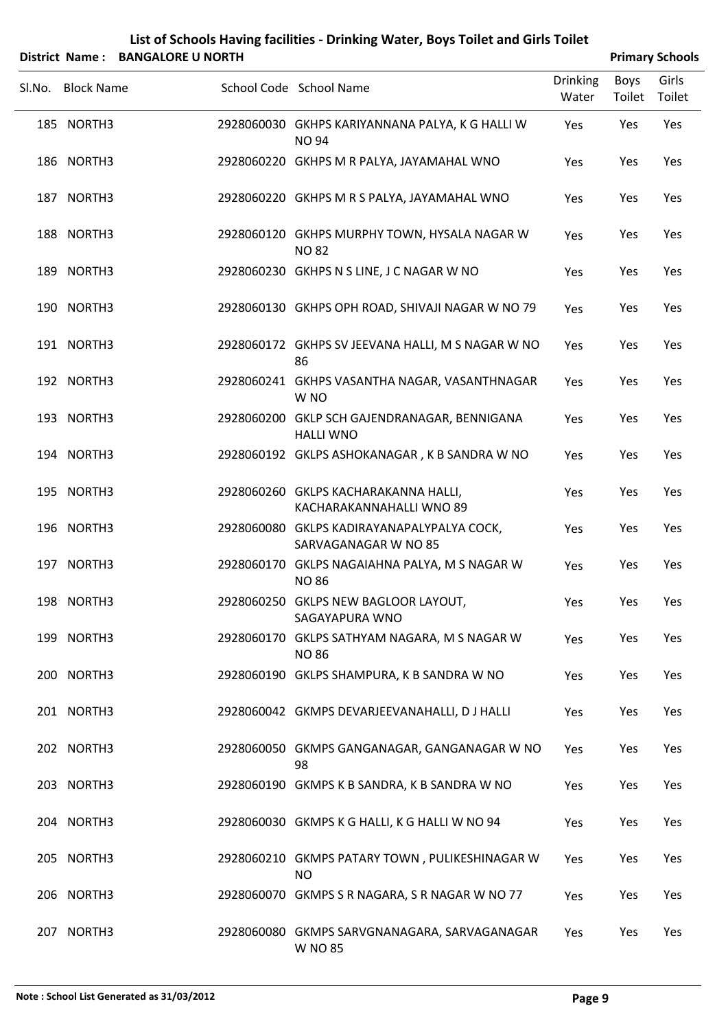|        |                   | District Name: BANGALORE U NORTH |                                                                    |                          |                | <b>Primary Schools</b> |
|--------|-------------------|----------------------------------|--------------------------------------------------------------------|--------------------------|----------------|------------------------|
| Sl.No. | <b>Block Name</b> |                                  | School Code School Name                                            | <b>Drinking</b><br>Water | Boys<br>Toilet | Girls<br>Toilet        |
|        | 185 NORTH3        |                                  | 2928060030 GKHPS KARIYANNANA PALYA, K G HALLI W<br><b>NO 94</b>    | Yes                      | Yes            | Yes                    |
|        | 186 NORTH3        |                                  | 2928060220 GKHPS M R PALYA, JAYAMAHAL WNO                          | Yes                      | Yes            | Yes                    |
|        | 187 NORTH3        |                                  | 2928060220 GKHPS M R S PALYA, JAYAMAHAL WNO                        | Yes                      | Yes            | Yes                    |
|        | 188 NORTH3        |                                  | 2928060120 GKHPS MURPHY TOWN, HYSALA NAGAR W<br><b>NO 82</b>       | Yes                      | Yes            | Yes                    |
|        | 189 NORTH3        |                                  | 2928060230 GKHPS N S LINE, J C NAGAR W NO                          | Yes                      | Yes            | Yes                    |
|        | 190 NORTH3        |                                  | 2928060130 GKHPS OPH ROAD, SHIVAJI NAGAR W NO 79                   | Yes                      | Yes            | Yes                    |
|        | 191 NORTH3        |                                  | 2928060172 GKHPS SV JEEVANA HALLI, M S NAGAR W NO<br>86            | Yes                      | Yes            | Yes                    |
|        | 192 NORTH3        |                                  | 2928060241 GKHPS VASANTHA NAGAR, VASANTHNAGAR<br>W <sub>NO</sub>   | Yes                      | Yes            | Yes                    |
|        | 193 NORTH3        |                                  | 2928060200 GKLP SCH GAJENDRANAGAR, BENNIGANA<br><b>HALLI WNO</b>   | Yes                      | Yes            | Yes                    |
|        | 194 NORTH3        |                                  | 2928060192 GKLPS ASHOKANAGAR, K B SANDRA W NO                      | Yes                      | Yes            | Yes                    |
|        | 195 NORTH3        |                                  | 2928060260 GKLPS KACHARAKANNA HALLI,<br>KACHARAKANNAHALLI WNO 89   | Yes                      | Yes            | Yes                    |
|        | 196 NORTH3        |                                  | 2928060080 GKLPS KADIRAYANAPALYPALYA COCK,<br>SARVAGANAGAR W NO 85 | Yes                      | Yes            | Yes                    |
|        | 197 NORTH3        |                                  | 2928060170 GKLPS NAGAIAHNA PALYA, M S NAGAR W<br><b>NO 86</b>      | Yes                      | Yes            | Yes                    |
|        | 198 NORTH3        |                                  | 2928060250 GKLPS NEW BAGLOOR LAYOUT,<br>SAGAYAPURA WNO             | Yes                      | Yes            | Yes                    |
|        | 199 NORTH3        |                                  | 2928060170 GKLPS SATHYAM NAGARA, M S NAGAR W<br><b>NO 86</b>       | Yes                      | Yes            | Yes                    |
|        | 200 NORTH3        |                                  | 2928060190 GKLPS SHAMPURA, K B SANDRA W NO                         | Yes                      | Yes            | Yes                    |
|        | 201 NORTH3        |                                  | 2928060042 GKMPS DEVARJEEVANAHALLI, D J HALLI                      | Yes                      | Yes            | Yes                    |
|        | 202 NORTH3        |                                  | 2928060050 GKMPS GANGANAGAR, GANGANAGAR W NO<br>98                 | Yes                      | Yes            | Yes                    |
|        | 203 NORTH3        |                                  | 2928060190 GKMPS K B SANDRA, K B SANDRA W NO                       | Yes                      | Yes            | Yes                    |
|        | 204 NORTH3        |                                  | 2928060030 GKMPS K G HALLI, K G HALLI W NO 94                      | Yes                      | Yes            | Yes                    |
|        | 205 NORTH3        |                                  | 2928060210 GKMPS PATARY TOWN, PULIKESHINAGAR W<br><b>NO</b>        | Yes                      | Yes            | Yes                    |
|        | 206 NORTH3        |                                  | 2928060070 GKMPS S R NAGARA, S R NAGAR W NO 77                     | Yes                      | Yes            | Yes                    |
|        | 207 NORTH3        |                                  | 2928060080 GKMPS SARVGNANAGARA, SARVAGANAGAR<br><b>W NO 85</b>     | Yes                      | Yes            | Yes                    |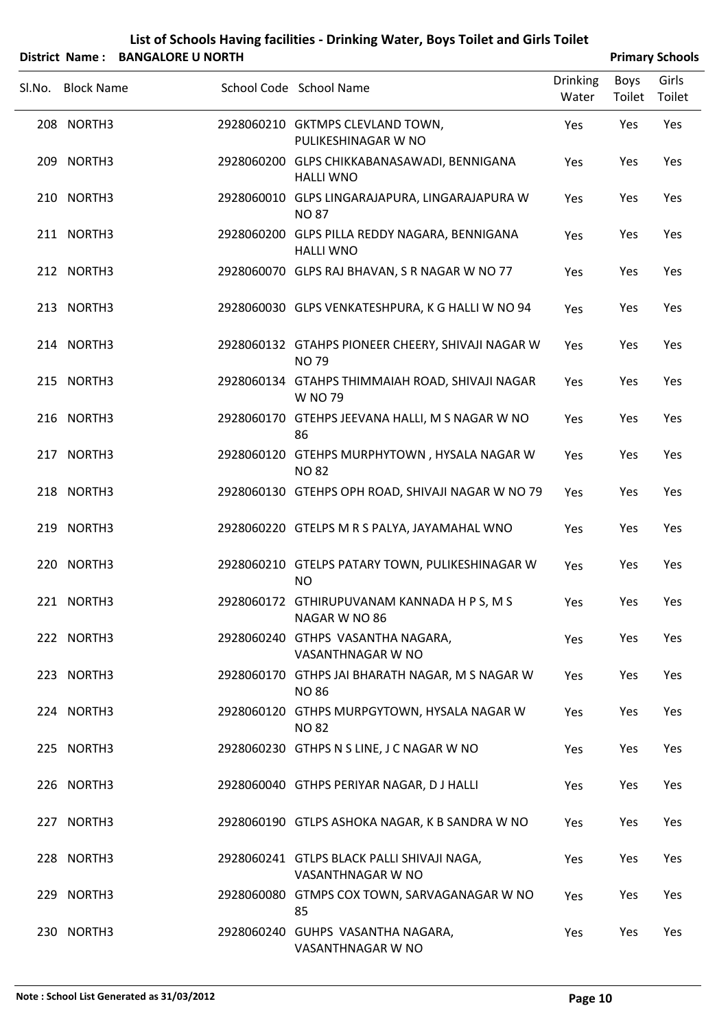|        |                   | District Name: BANGALORE U NORTH |                                                                   |                          |                | <b>Primary Schools</b> |
|--------|-------------------|----------------------------------|-------------------------------------------------------------------|--------------------------|----------------|------------------------|
| Sl.No. | <b>Block Name</b> |                                  | School Code School Name                                           | <b>Drinking</b><br>Water | Boys<br>Toilet | Girls<br>Toilet        |
|        | 208 NORTH3        |                                  | 2928060210 GKTMPS CLEVLAND TOWN,<br>PULIKESHINAGAR W NO           | Yes                      | Yes            | Yes                    |
|        | 209 NORTH3        |                                  | 2928060200 GLPS CHIKKABANASAWADI, BENNIGANA<br><b>HALLI WNO</b>   | Yes                      | Yes            | Yes                    |
|        | 210 NORTH3        |                                  | 2928060010 GLPS LINGARAJAPURA, LINGARAJAPURA W<br><b>NO 87</b>    | Yes                      | Yes            | Yes                    |
|        | 211 NORTH3        |                                  | 2928060200 GLPS PILLA REDDY NAGARA, BENNIGANA<br><b>HALLI WNO</b> | Yes                      | Yes            | Yes                    |
|        | 212 NORTH3        |                                  | 2928060070 GLPS RAJ BHAVAN, S R NAGAR W NO 77                     | Yes                      | Yes            | Yes                    |
|        | 213 NORTH3        |                                  | 2928060030 GLPS VENKATESHPURA, K G HALLI W NO 94                  | Yes                      | Yes            | Yes                    |
|        | 214 NORTH3        |                                  | 2928060132 GTAHPS PIONEER CHEERY, SHIVAJI NAGAR W<br><b>NO79</b>  | Yes                      | Yes            | Yes                    |
|        | 215 NORTH3        |                                  | 2928060134 GTAHPS THIMMAIAH ROAD, SHIVAJI NAGAR<br><b>W NO 79</b> | Yes                      | Yes            | Yes                    |
|        | 216 NORTH3        |                                  | 2928060170 GTEHPS JEEVANA HALLI, M S NAGAR W NO<br>86             | Yes                      | Yes            | Yes                    |
|        | 217 NORTH3        |                                  | 2928060120 GTEHPS MURPHYTOWN, HYSALA NAGAR W<br><b>NO 82</b>      | Yes                      | Yes            | Yes                    |
|        | 218 NORTH3        |                                  | 2928060130 GTEHPS OPH ROAD, SHIVAJI NAGAR W NO 79                 | Yes                      | Yes            | Yes                    |
|        | 219 NORTH3        |                                  | 2928060220 GTELPS M R S PALYA, JAYAMAHAL WNO                      | Yes                      | Yes            | Yes                    |
|        | 220 NORTH3        |                                  | 2928060210 GTELPS PATARY TOWN, PULIKESHINAGAR W<br><b>NO</b>      | Yes                      | Yes            | Yes                    |
|        | 221 NORTH3        |                                  | 2928060172 GTHIRUPUVANAM KANNADA H P S, M S<br>NAGAR W NO 86      | Yes                      | Yes            | Yes                    |
|        | 222 NORTH3        |                                  | 2928060240 GTHPS VASANTHA NAGARA,<br>VASANTHNAGAR W NO            | Yes                      | Yes            | Yes                    |
|        | 223 NORTH3        |                                  | 2928060170 GTHPS JAI BHARATH NAGAR, M S NAGAR W<br><b>NO 86</b>   | Yes                      | Yes            | Yes                    |
|        | 224 NORTH3        |                                  | 2928060120 GTHPS MURPGYTOWN, HYSALA NAGAR W<br><b>NO 82</b>       | Yes                      | Yes            | Yes                    |
|        | 225 NORTH3        |                                  | 2928060230 GTHPS N S LINE, J C NAGAR W NO                         | Yes                      | Yes            | Yes                    |
|        | 226 NORTH3        |                                  | 2928060040 GTHPS PERIYAR NAGAR, DJ HALLI                          | Yes                      | Yes            | Yes                    |
|        | 227 NORTH3        |                                  | 2928060190 GTLPS ASHOKA NAGAR, K B SANDRA W NO                    | Yes                      | Yes            | Yes                    |
|        | 228 NORTH3        |                                  | 2928060241 GTLPS BLACK PALLI SHIVAJI NAGA,<br>VASANTHNAGAR W NO   | Yes                      | Yes            | Yes                    |
|        | 229 NORTH3        |                                  | 2928060080 GTMPS COX TOWN, SARVAGANAGAR W NO<br>85                | Yes                      | Yes            | Yes                    |
|        | 230 NORTH3        |                                  | 2928060240 GUHPS VASANTHA NAGARA,<br>VASANTHNAGAR W NO            | Yes                      | Yes            | Yes                    |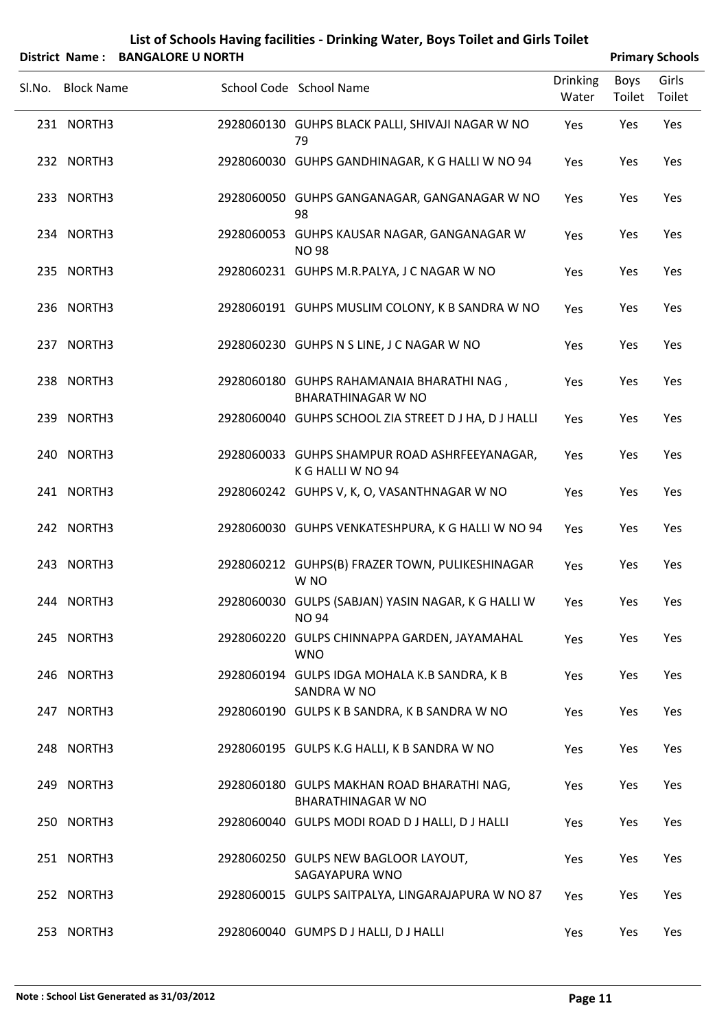| List of Schools Having facilities - Drinking Water, Boys Toilet and Girls Toilet |
|----------------------------------------------------------------------------------|
| $\sim$ News . DANCALODE ILNODELL                                                 |

| District Name: BANGALORE U NORTH |                                                                         |                          |                | <b>Primary Schools</b> |
|----------------------------------|-------------------------------------------------------------------------|--------------------------|----------------|------------------------|
| Sl.No. Block Name                | School Code School Name                                                 | <b>Drinking</b><br>Water | Boys<br>Toilet | Girls<br>Toilet        |
| 231 NORTH3                       | 2928060130 GUHPS BLACK PALLI, SHIVAJI NAGAR W NO<br>79                  | Yes                      | Yes            | Yes                    |
| 232 NORTH3                       | 2928060030 GUHPS GANDHINAGAR, K G HALLI W NO 94                         | Yes                      | Yes            | Yes                    |
| 233 NORTH3                       | 2928060050 GUHPS GANGANAGAR, GANGANAGAR W NO<br>98                      | Yes                      | Yes            | Yes                    |
| 234 NORTH3                       | 2928060053 GUHPS KAUSAR NAGAR, GANGANAGAR W<br><b>NO 98</b>             | Yes                      | Yes            | Yes                    |
| 235 NORTH3                       | 2928060231 GUHPS M.R.PALYA, J C NAGAR W NO                              | Yes                      | Yes            | Yes                    |
| 236 NORTH3                       | 2928060191 GUHPS MUSLIM COLONY, K B SANDRA W NO                         | Yes                      | Yes            | Yes                    |
| 237 NORTH3                       | 2928060230 GUHPS N S LINE, J C NAGAR W NO                               | Yes                      | Yes            | Yes                    |
| 238 NORTH3                       | 2928060180 GUHPS RAHAMANAIA BHARATHI NAG,<br><b>BHARATHINAGAR W NO</b>  | Yes                      | Yes            | Yes                    |
| 239 NORTH3                       | 2928060040 GUHPS SCHOOL ZIA STREET D J HA, D J HALLI                    | Yes                      | Yes            | Yes                    |
| 240 NORTH3                       | 2928060033 GUHPS SHAMPUR ROAD ASHRFEEYANAGAR,<br>K G HALLI W NO 94      | Yes                      | Yes            | Yes                    |
| 241 NORTH3                       | 2928060242 GUHPS V, K, O, VASANTHNAGAR W NO                             | Yes                      | Yes            | Yes                    |
| 242 NORTH3                       | 2928060030 GUHPS VENKATESHPURA, K G HALLI W NO 94                       | Yes                      | Yes            | Yes                    |
| 243 NORTH3                       | 2928060212 GUHPS(B) FRAZER TOWN, PULIKESHINAGAR<br>W <sub>NO</sub>      | Yes                      | Yes            | Yes                    |
| 244 NORTH3                       | 2928060030 GULPS (SABJAN) YASIN NAGAR, K G HALLI W<br><b>NO 94</b>      | Yes                      | Yes            | Yes                    |
| 245 NORTH3                       | 2928060220 GULPS CHINNAPPA GARDEN, JAYAMAHAL<br><b>WNO</b>              | Yes                      | Yes            | Yes                    |
| 246 NORTH3                       | 2928060194 GULPS IDGA MOHALA K.B SANDRA, K B<br>SANDRA W NO             | Yes                      | Yes            | Yes                    |
| 247 NORTH3                       | 2928060190 GULPS K B SANDRA, K B SANDRA W NO                            | Yes                      | Yes            | Yes                    |
| 248 NORTH3                       | 2928060195 GULPS K.G HALLI, K B SANDRA W NO                             | Yes                      | Yes            | Yes                    |
| 249 NORTH3                       | 2928060180 GULPS MAKHAN ROAD BHARATHI NAG,<br><b>BHARATHINAGAR W NO</b> | Yes                      | Yes            | Yes                    |
| 250 NORTH3                       | 2928060040 GULPS MODI ROAD DJ HALLI, DJ HALLI                           | Yes                      | Yes            | Yes                    |
| 251 NORTH3                       | 2928060250 GULPS NEW BAGLOOR LAYOUT,<br>SAGAYAPURA WNO                  | Yes                      | Yes            | Yes                    |
| 252 NORTH3                       | 2928060015 GULPS SAITPALYA, LINGARAJAPURA W NO 87                       | Yes                      | Yes            | Yes                    |
| 253 NORTH3                       | 2928060040 GUMPS D J HALLI, D J HALLI                                   | Yes                      | Yes            | Yes                    |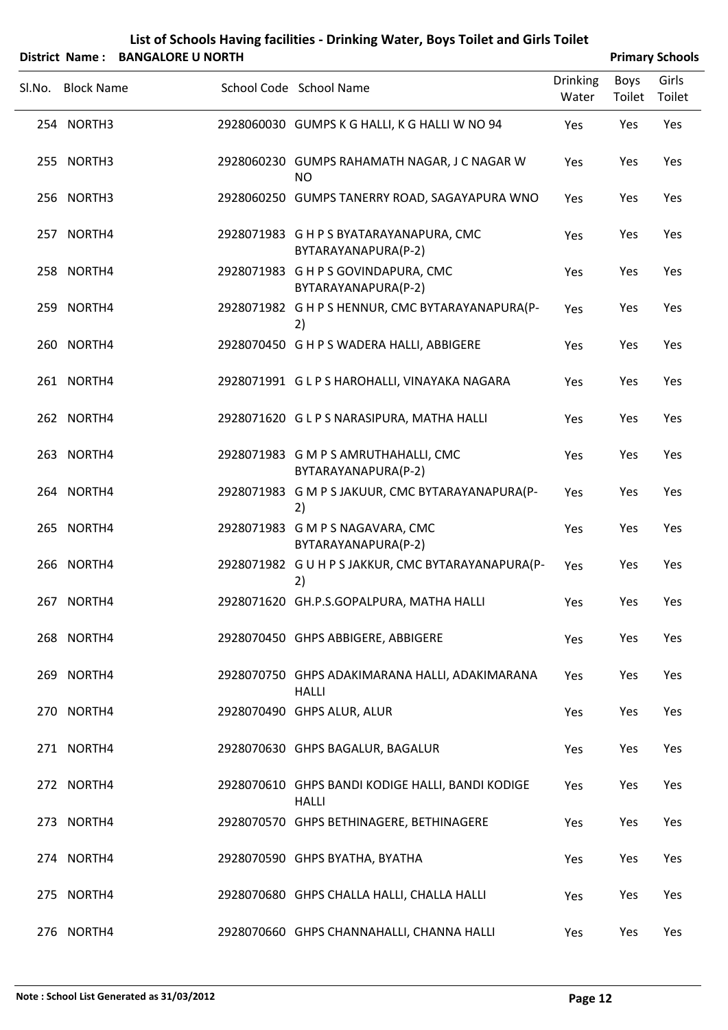| List of Schools Having facilities - Drinking Water, Boys Toilet and Girls Toilet |
|----------------------------------------------------------------------------------|
| ------------------                                                               |

|        | District Name: BANGALORE U NORTH |                                                                  |                   |                | <b>Primary Schools</b> |
|--------|----------------------------------|------------------------------------------------------------------|-------------------|----------------|------------------------|
| Sl.No. | <b>Block Name</b>                | School Code School Name                                          | Drinking<br>Water | Boys<br>Toilet | Girls<br>Toilet        |
|        | 254 NORTH3                       | 2928060030 GUMPS K G HALLI, K G HALLI W NO 94                    | Yes               | Yes            | Yes                    |
|        | 255 NORTH3                       | 2928060230 GUMPS RAHAMATH NAGAR, J C NAGAR W<br><b>NO</b>        | Yes               | Yes            | Yes                    |
|        | 256 NORTH3                       | 2928060250 GUMPS TANERRY ROAD, SAGAYAPURA WNO                    | Yes               | Yes            | Yes                    |
|        | 257 NORTH4                       | 2928071983 G H P S BYATARAYANAPURA, CMC<br>BYTARAYANAPURA(P-2)   | Yes               | Yes            | Yes                    |
|        | 258 NORTH4                       | 2928071983 GHPS GOVINDAPURA, CMC<br>BYTARAYANAPURA(P-2)          | Yes               | Yes            | Yes                    |
|        | 259 NORTH4                       | 2928071982 G H P S HENNUR, CMC BYTARAYANAPURA(P-<br>2)           | Yes               | Yes            | Yes                    |
|        | 260 NORTH4                       | 2928070450 G H P S WADERA HALLI, ABBIGERE                        | Yes               | Yes            | Yes                    |
|        | 261 NORTH4                       | 2928071991 GLPS HAROHALLI, VINAYAKA NAGARA                       | Yes               | Yes            | Yes                    |
|        | 262 NORTH4                       | 2928071620 G L P S NARASIPURA, MATHA HALLI                       | Yes               | Yes            | Yes                    |
|        | 263 NORTH4                       | 2928071983 G M P S AMRUTHAHALLI, CMC<br>BYTARAYANAPURA(P-2)      | Yes               | Yes            | Yes                    |
|        | 264 NORTH4                       | 2928071983 G M P S JAKUUR, CMC BYTARAYANAPURA(P-<br>2)           | Yes               | Yes            | Yes                    |
|        | 265 NORTH4                       | 2928071983 G M P S NAGAVARA, CMC<br>BYTARAYANAPURA(P-2)          | Yes               | Yes            | Yes                    |
|        | 266 NORTH4                       | 2928071982 G U H P S JAKKUR, CMC BYTARAYANAPURA(P-<br>2)         | Yes               | Yes            | Yes                    |
|        | 267 NORTH4                       | 2928071620 GH.P.S.GOPALPURA, MATHA HALLI                         | Yes               | Yes            | Yes                    |
|        | 268 NORTH4                       | 2928070450 GHPS ABBIGERE, ABBIGERE                               | Yes               | Yes            | Yes                    |
|        | 269 NORTH4                       | 2928070750 GHPS ADAKIMARANA HALLI, ADAKIMARANA<br><b>HALLI</b>   | Yes               | Yes            | Yes                    |
|        | 270 NORTH4                       | 2928070490 GHPS ALUR, ALUR                                       | Yes               | Yes            | Yes                    |
|        | 271 NORTH4                       | 2928070630 GHPS BAGALUR, BAGALUR                                 | Yes               | Yes            | Yes                    |
|        | 272 NORTH4                       | 2928070610 GHPS BANDI KODIGE HALLI, BANDI KODIGE<br><b>HALLI</b> | Yes               | Yes            | Yes                    |
|        | 273 NORTH4                       | 2928070570 GHPS BETHINAGERE, BETHINAGERE                         | Yes               | Yes            | Yes                    |
|        | 274 NORTH4                       | 2928070590 GHPS BYATHA, BYATHA                                   | Yes               | Yes            | Yes                    |
|        | 275 NORTH4                       | 2928070680 GHPS CHALLA HALLI, CHALLA HALLI                       | Yes               | Yes            | Yes                    |
|        | 276 NORTH4                       | 2928070660 GHPS CHANNAHALLI, CHANNA HALLI                        | Yes               | Yes            | Yes                    |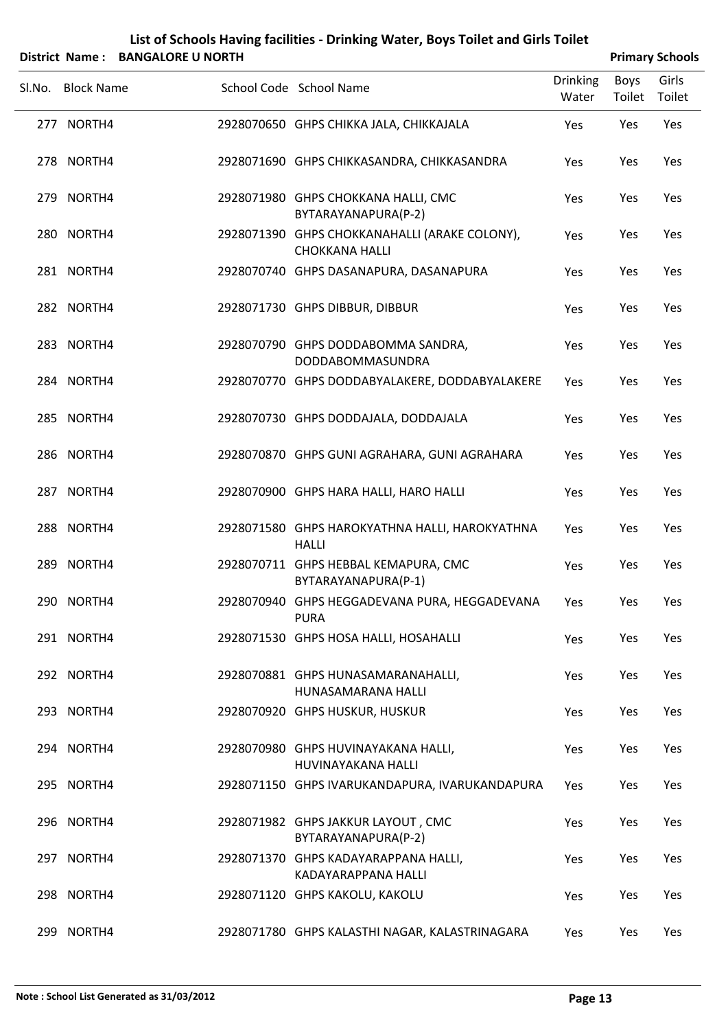|        |                   | District Name: BANGALORE U NORTH |                                                                        |                          |                | <b>Primary Schools</b> |
|--------|-------------------|----------------------------------|------------------------------------------------------------------------|--------------------------|----------------|------------------------|
| SI.No. | <b>Block Name</b> |                                  | School Code School Name                                                | <b>Drinking</b><br>Water | Boys<br>Toilet | Girls<br>Toilet        |
|        | 277 NORTH4        |                                  | 2928070650 GHPS CHIKKA JALA, CHIKKAJALA                                | Yes                      | Yes            | Yes                    |
|        | 278 NORTH4        |                                  | 2928071690 GHPS CHIKKASANDRA, CHIKKASANDRA                             | Yes                      | Yes            | Yes                    |
|        | 279 NORTH4        |                                  | 2928071980 GHPS CHOKKANA HALLI, CMC<br>BYTARAYANAPURA(P-2)             | Yes                      | Yes            | Yes                    |
|        | 280 NORTH4        |                                  | 2928071390 GHPS CHOKKANAHALLI (ARAKE COLONY),<br><b>CHOKKANA HALLI</b> | Yes                      | Yes            | Yes                    |
|        | 281 NORTH4        |                                  | 2928070740 GHPS DASANAPURA, DASANAPURA                                 | Yes                      | Yes            | Yes                    |
|        | 282 NORTH4        |                                  | 2928071730 GHPS DIBBUR, DIBBUR                                         | Yes                      | Yes            | Yes                    |
|        | 283 NORTH4        |                                  | 2928070790 GHPS DODDABOMMA SANDRA,<br>DODDABOMMASUNDRA                 | Yes                      | Yes            | Yes                    |
|        | 284 NORTH4        |                                  | 2928070770 GHPS DODDABYALAKERE, DODDABYALAKERE                         | Yes                      | Yes            | Yes                    |
|        | 285 NORTH4        |                                  | 2928070730 GHPS DODDAJALA, DODDAJALA                                   | Yes                      | Yes            | Yes                    |
|        | 286 NORTH4        |                                  | 2928070870 GHPS GUNI AGRAHARA, GUNI AGRAHARA                           | Yes                      | Yes            | Yes                    |
|        | 287 NORTH4        |                                  | 2928070900 GHPS HARA HALLI, HARO HALLI                                 | Yes                      | Yes            | Yes                    |
|        | 288 NORTH4        |                                  | 2928071580 GHPS HAROKYATHNA HALLI, HAROKYATHNA<br><b>HALLI</b>         | Yes                      | Yes            | Yes                    |
|        | 289 NORTH4        |                                  | 2928070711 GHPS HEBBAL KEMAPURA, CMC<br>BYTARAYANAPURA(P-1)            | Yes                      | Yes            | Yes                    |
|        | 290 NORTH4        |                                  | 2928070940 GHPS HEGGADEVANA PURA, HEGGADEVANA<br><b>PURA</b>           | Yes                      | Yes            | Yes                    |
|        | 291 NORTH4        |                                  | 2928071530 GHPS HOSA HALLI, HOSAHALLI                                  | Yes                      | Yes            | Yes                    |
|        | 292 NORTH4        |                                  | 2928070881 GHPS HUNASAMARANAHALLI,<br>HUNASAMARANA HALLI               | Yes                      | Yes            | Yes                    |
|        | 293 NORTH4        |                                  | 2928070920 GHPS HUSKUR, HUSKUR                                         | Yes                      | Yes            | Yes                    |
|        | 294 NORTH4        |                                  | 2928070980 GHPS HUVINAYAKANA HALLI,<br>HUVINAYAKANA HALLI              | Yes                      | Yes            | Yes                    |
|        | 295 NORTH4        |                                  | 2928071150 GHPS IVARUKANDAPURA, IVARUKANDAPURA                         | Yes                      | Yes            | Yes                    |
|        | 296 NORTH4        |                                  | 2928071982 GHPS JAKKUR LAYOUT, CMC<br>BYTARAYANAPURA(P-2)              | Yes                      | Yes            | Yes                    |
|        | 297 NORTH4        |                                  | 2928071370 GHPS KADAYARAPPANA HALLI,<br>KADAYARAPPANA HALLI            | Yes                      | Yes            | Yes                    |
|        | 298 NORTH4        |                                  | 2928071120 GHPS KAKOLU, KAKOLU                                         | Yes                      | Yes            | Yes                    |
|        | 299 NORTH4        |                                  | 2928071780 GHPS KALASTHI NAGAR, KALASTRINAGARA                         | Yes                      | Yes            | Yes                    |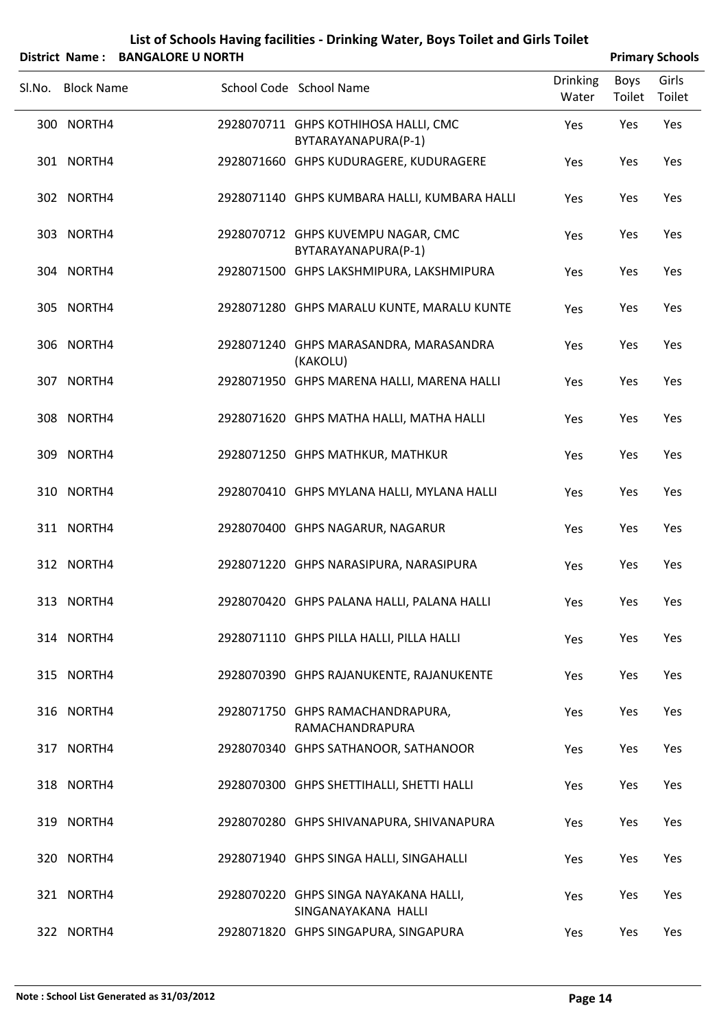| List of Schools Having facilities - Drinking Water, Boys Toilet and Girls Toilet |                        |
|----------------------------------------------------------------------------------|------------------------|
| District Name: BANGALORE U NORTH                                                 | <b>Primary Schools</b> |

| <b>PANUALUNE U NUINTI</b> |                                                              |                          |                | r milial y Juliouis |
|---------------------------|--------------------------------------------------------------|--------------------------|----------------|---------------------|
| Sl.No. Block Name         | School Code School Name                                      | <b>Drinking</b><br>Water | Boys<br>Toilet | Girls<br>Toilet     |
| 300 NORTH4                | 2928070711 GHPS KOTHIHOSA HALLI, CMC<br>BYTARAYANAPURA(P-1)  | Yes                      | Yes            | Yes                 |
| 301 NORTH4                | 2928071660 GHPS KUDURAGERE, KUDURAGERE                       | Yes                      | Yes            | Yes                 |
| 302 NORTH4                | 2928071140 GHPS KUMBARA HALLI, KUMBARA HALLI                 | Yes                      | Yes            | Yes                 |
| 303 NORTH4                | 2928070712 GHPS KUVEMPU NAGAR, CMC<br>BYTARAYANAPURA(P-1)    | Yes                      | Yes            | Yes                 |
| 304 NORTH4                | 2928071500 GHPS LAKSHMIPURA, LAKSHMIPURA                     | Yes                      | Yes            | Yes                 |
| 305 NORTH4                | 2928071280 GHPS MARALU KUNTE, MARALU KUNTE                   | Yes                      | Yes            | Yes                 |
| 306 NORTH4                | 2928071240 GHPS MARASANDRA, MARASANDRA<br>(KAKOLU)           | Yes                      | Yes            | Yes                 |
| 307 NORTH4                | 2928071950 GHPS MARENA HALLI, MARENA HALLI                   | Yes                      | Yes            | Yes                 |
| 308 NORTH4                | 2928071620 GHPS MATHA HALLI, MATHA HALLI                     | Yes                      | Yes            | Yes                 |
| 309 NORTH4                | 2928071250 GHPS MATHKUR, MATHKUR                             | Yes                      | Yes            | Yes                 |
| 310 NORTH4                | 2928070410 GHPS MYLANA HALLI, MYLANA HALLI                   | Yes                      | Yes            | Yes                 |
| 311 NORTH4                | 2928070400 GHPS NAGARUR, NAGARUR                             | Yes                      | Yes            | Yes                 |
| 312 NORTH4                | 2928071220 GHPS NARASIPURA, NARASIPURA                       | Yes                      | Yes            | Yes                 |
| 313 NORTH4                | 2928070420 GHPS PALANA HALLI, PALANA HALLI                   | Yes                      | Yes            | Yes                 |
| 314 NORTH4                | 2928071110 GHPS PILLA HALLI, PILLA HALLI                     | Yes                      | Yes            | Yes                 |
| 315 NORTH4                | 2928070390 GHPS RAJANUKENTE, RAJANUKENTE                     | Yes                      | Yes            | Yes                 |
| 316 NORTH4                | 2928071750 GHPS RAMACHANDRAPURA,<br>RAMACHANDRAPURA          | Yes                      | Yes            | Yes                 |
| 317 NORTH4                | 2928070340 GHPS SATHANOOR, SATHANOOR                         | Yes                      | Yes            | Yes                 |
| 318 NORTH4                | 2928070300 GHPS SHETTIHALLI, SHETTI HALLI                    | Yes                      | Yes            | Yes                 |
| 319 NORTH4                | 2928070280 GHPS SHIVANAPURA, SHIVANAPURA                     | Yes                      | Yes            | Yes                 |
| 320 NORTH4                | 2928071940 GHPS SINGA HALLI, SINGAHALLI                      | Yes                      | Yes            | Yes                 |
| 321 NORTH4                | 2928070220 GHPS SINGA NAYAKANA HALLI,<br>SINGANAYAKANA HALLI | Yes                      | Yes            | Yes                 |
| 322 NORTH4                | 2928071820 GHPS SINGAPURA, SINGAPURA                         | Yes                      | Yes            | Yes                 |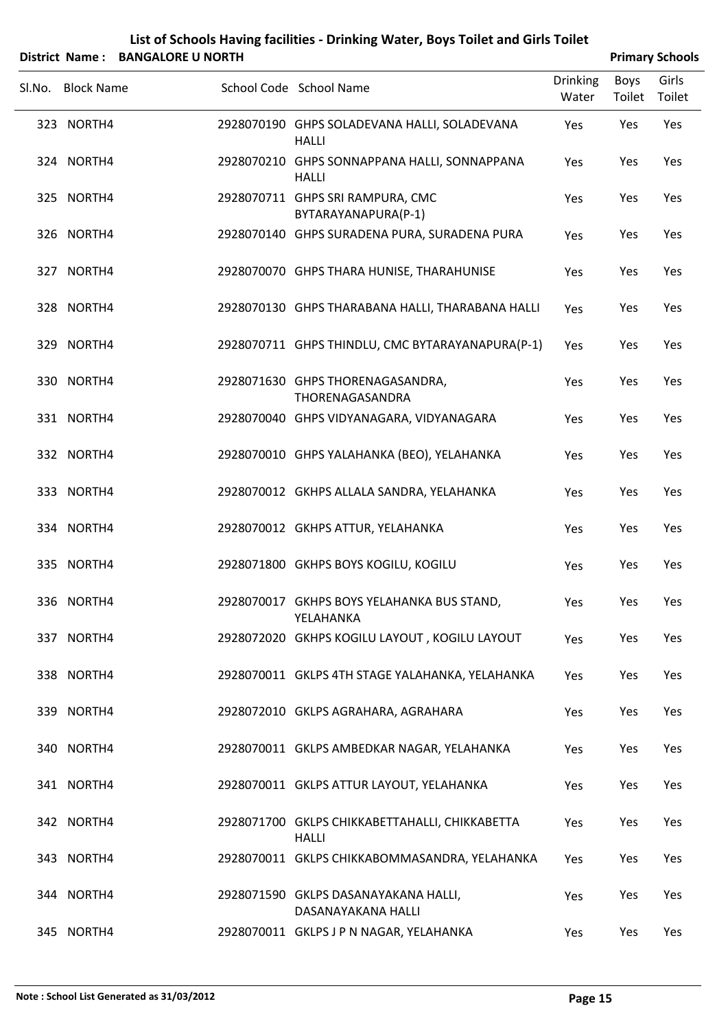| List of Schools Having facilities - Drinking Water, Boys Toilet and Girls Toilet |
|----------------------------------------------------------------------------------|
| $\mathbf{N}$                                                                     |

|        | District Name: BANGALORE U NORTH |                                                                |                          |                | <b>Primary Schools</b> |
|--------|----------------------------------|----------------------------------------------------------------|--------------------------|----------------|------------------------|
| Sl.No. | <b>Block Name</b>                | School Code School Name                                        | <b>Drinking</b><br>Water | Boys<br>Toilet | Girls<br>Toilet        |
|        | 323 NORTH4                       | 2928070190 GHPS SOLADEVANA HALLI, SOLADEVANA<br><b>HALLI</b>   | Yes                      | Yes            | Yes                    |
|        | 324 NORTH4                       | 2928070210 GHPS SONNAPPANA HALLI, SONNAPPANA<br><b>HALLI</b>   | Yes                      | Yes            | Yes                    |
|        | 325 NORTH4                       | 2928070711 GHPS SRI RAMPURA, CMC<br>BYTARAYANAPURA(P-1)        | Yes                      | Yes            | Yes                    |
|        | 326 NORTH4                       | 2928070140 GHPS SURADENA PURA, SURADENA PURA                   | Yes                      | Yes            | Yes                    |
|        | 327 NORTH4                       | 2928070070 GHPS THARA HUNISE, THARAHUNISE                      | Yes                      | Yes            | Yes                    |
|        | 328 NORTH4                       | 2928070130 GHPS THARABANA HALLI, THARABANA HALLI               | Yes                      | Yes            | Yes                    |
|        | 329 NORTH4                       | 2928070711 GHPS THINDLU, CMC BYTARAYANAPURA(P-1)               | Yes                      | Yes            | Yes                    |
|        | 330 NORTH4                       | 2928071630 GHPS THORENAGASANDRA,<br>THORENAGASANDRA            | Yes                      | Yes            | Yes                    |
|        | 331 NORTH4                       | 2928070040 GHPS VIDYANAGARA, VIDYANAGARA                       | Yes                      | Yes            | Yes                    |
|        | 332 NORTH4                       | 2928070010 GHPS YALAHANKA (BEO), YELAHANKA                     | Yes                      | Yes            | Yes                    |
|        | 333 NORTH4                       | 2928070012 GKHPS ALLALA SANDRA, YELAHANKA                      | Yes                      | Yes            | Yes                    |
|        | 334 NORTH4                       | 2928070012 GKHPS ATTUR, YELAHANKA                              | Yes                      | Yes            | Yes                    |
|        | 335 NORTH4                       | 2928071800 GKHPS BOYS KOGILU, KOGILU                           | Yes                      | Yes            | Yes                    |
|        | 336 NORTH4                       | 2928070017 GKHPS BOYS YELAHANKA BUS STAND,<br>YELAHANKA        | Yes                      | Yes            | Yes                    |
|        | 337 NORTH4                       | 2928072020 GKHPS KOGILU LAYOUT, KOGILU LAYOUT                  | Yes                      | Yes            | Yes                    |
|        | 338 NORTH4                       | 2928070011 GKLPS 4TH STAGE YALAHANKA, YELAHANKA                | Yes                      | Yes            | Yes                    |
|        | 339 NORTH4                       | 2928072010 GKLPS AGRAHARA, AGRAHARA                            | Yes                      | Yes            | Yes                    |
|        | 340 NORTH4                       | 2928070011 GKLPS AMBEDKAR NAGAR, YELAHANKA                     | Yes                      | Yes            | Yes                    |
|        | 341 NORTH4                       | 2928070011 GKLPS ATTUR LAYOUT, YELAHANKA                       | Yes                      | Yes            | Yes                    |
|        | 342 NORTH4                       | 2928071700 GKLPS CHIKKABETTAHALLI, CHIKKABETTA<br><b>HALLI</b> | Yes                      | Yes            | Yes                    |
|        | 343 NORTH4                       | 2928070011 GKLPS CHIKKABOMMASANDRA, YELAHANKA                  | Yes                      | Yes            | Yes                    |
|        | 344 NORTH4                       | 2928071590 GKLPS DASANAYAKANA HALLI,<br>DASANAYAKANA HALLI     | Yes                      | Yes            | Yes                    |
|        | 345 NORTH4                       | 2928070011 GKLPS J P N NAGAR, YELAHANKA                        | Yes                      | Yes            | Yes                    |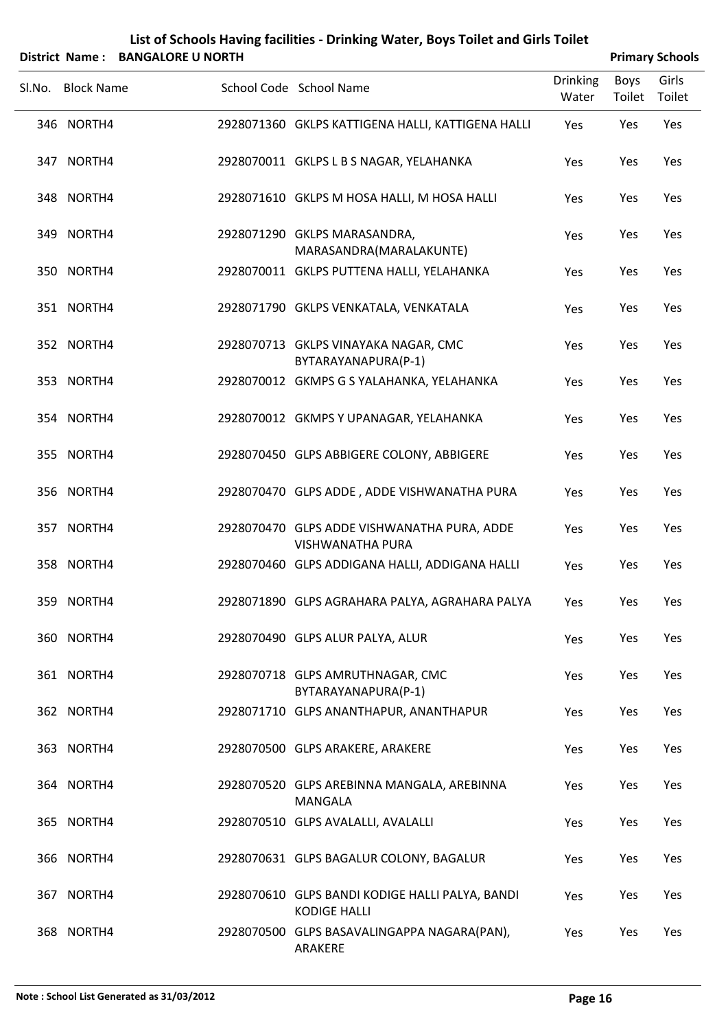|        |                   | District Name: BANGALORE U NORTH |                                                                        |                          |                | <b>Primary Schools</b> |
|--------|-------------------|----------------------------------|------------------------------------------------------------------------|--------------------------|----------------|------------------------|
| SI.No. | <b>Block Name</b> |                                  | School Code School Name                                                | <b>Drinking</b><br>Water | Boys<br>Toilet | Girls<br>Toilet        |
|        | 346 NORTH4        |                                  | 2928071360 GKLPS KATTIGENA HALLI, KATTIGENA HALLI                      | Yes                      | Yes            | Yes                    |
|        | 347 NORTH4        |                                  | 2928070011 GKLPS L B S NAGAR, YELAHANKA                                | Yes                      | Yes            | Yes                    |
|        | 348 NORTH4        |                                  | 2928071610 GKLPS M HOSA HALLI, M HOSA HALLI                            | Yes                      | Yes            | Yes                    |
|        | 349 NORTH4        |                                  | 2928071290 GKLPS MARASANDRA,<br>MARASANDRA(MARALAKUNTE)                | Yes                      | Yes            | Yes                    |
|        | 350 NORTH4        |                                  | 2928070011 GKLPS PUTTENA HALLI, YELAHANKA                              | Yes                      | Yes            | Yes                    |
|        | 351 NORTH4        |                                  | 2928071790 GKLPS VENKATALA, VENKATALA                                  | Yes                      | Yes            | Yes                    |
|        | 352 NORTH4        |                                  | 2928070713 GKLPS VINAYAKA NAGAR, CMC<br>BYTARAYANAPURA(P-1)            | Yes                      | Yes            | Yes                    |
|        | 353 NORTH4        |                                  | 2928070012 GKMPS G S YALAHANKA, YELAHANKA                              | Yes                      | Yes            | Yes                    |
|        | 354 NORTH4        |                                  | 2928070012 GKMPS Y UPANAGAR, YELAHANKA                                 | Yes                      | Yes            | Yes                    |
|        | 355 NORTH4        |                                  | 2928070450 GLPS ABBIGERE COLONY, ABBIGERE                              | Yes                      | Yes            | Yes                    |
|        | 356 NORTH4        |                                  | 2928070470 GLPS ADDE, ADDE VISHWANATHA PURA                            | Yes                      | Yes            | Yes                    |
|        | 357 NORTH4        |                                  | 2928070470 GLPS ADDE VISHWANATHA PURA, ADDE<br><b>VISHWANATHA PURA</b> | Yes                      | Yes            | Yes                    |
|        | 358 NORTH4        |                                  | 2928070460 GLPS ADDIGANA HALLI, ADDIGANA HALLI                         | Yes                      | Yes            | Yes                    |
|        | 359 NORTH4        |                                  | 2928071890 GLPS AGRAHARA PALYA, AGRAHARA PALYA                         | Yes                      | Yes            | Yes                    |
|        | 360 NORTH4        |                                  | 2928070490 GLPS ALUR PALYA, ALUR                                       | Yes                      | Yes            | Yes                    |
|        | 361 NORTH4        |                                  | 2928070718 GLPS AMRUTHNAGAR, CMC<br>BYTARAYANAPURA(P-1)                | Yes                      | Yes            | Yes                    |
|        | 362 NORTH4        |                                  | 2928071710 GLPS ANANTHAPUR, ANANTHAPUR                                 | Yes                      | Yes            | Yes                    |
|        | 363 NORTH4        |                                  | 2928070500 GLPS ARAKERE, ARAKERE                                       | Yes                      | Yes            | Yes                    |
|        | 364 NORTH4        |                                  | 2928070520 GLPS AREBINNA MANGALA, AREBINNA<br><b>MANGALA</b>           | Yes                      | Yes            | Yes                    |
|        | 365 NORTH4        |                                  | 2928070510 GLPS AVALALLI, AVALALLI                                     | Yes                      | Yes            | Yes                    |
|        | 366 NORTH4        |                                  | 2928070631 GLPS BAGALUR COLONY, BAGALUR                                | Yes                      | Yes            | Yes                    |
|        | 367 NORTH4        |                                  | 2928070610 GLPS BANDI KODIGE HALLI PALYA, BANDI<br><b>KODIGE HALLI</b> | Yes                      | Yes            | Yes                    |
|        | 368 NORTH4        |                                  | 2928070500 GLPS BASAVALINGAPPA NAGARA(PAN),<br>ARAKERE                 | Yes                      | Yes            | Yes                    |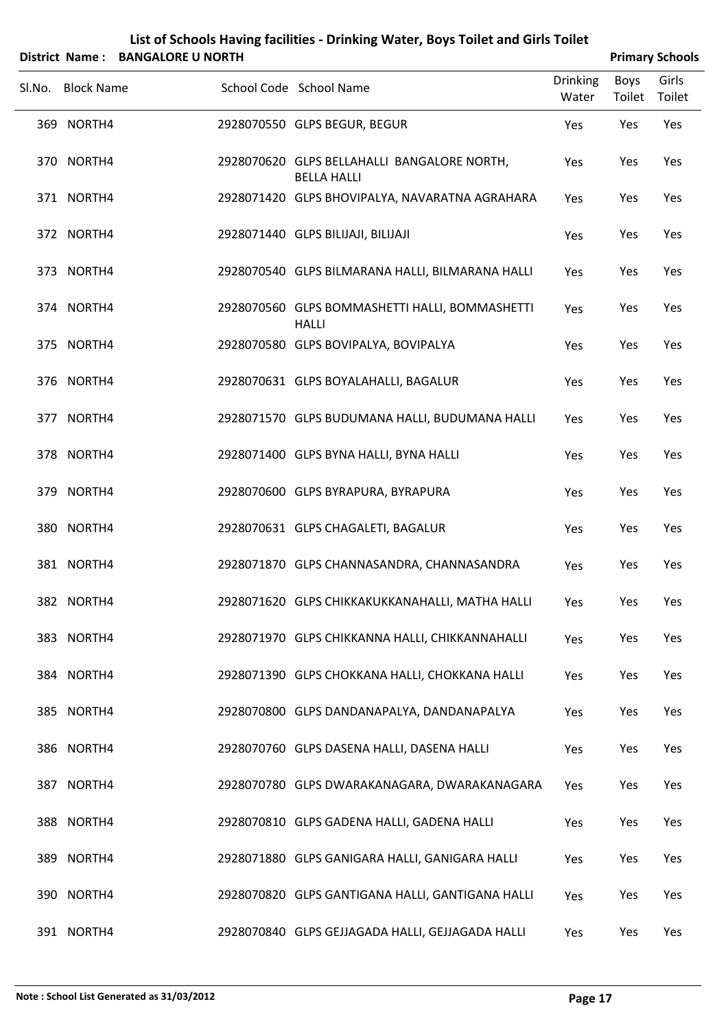|        |                          | District Name: BANGALORE U NORTH |                                                                                                   |                          | <b>Primary Schools</b> |                 |
|--------|--------------------------|----------------------------------|---------------------------------------------------------------------------------------------------|--------------------------|------------------------|-----------------|
| Sl.No. | <b>Block Name</b>        |                                  | School Code School Name                                                                           | <b>Drinking</b><br>Water | <b>Boys</b><br>Toilet  | Girls<br>Toilet |
|        | 369 NORTH4               |                                  | 2928070550 GLPS BEGUR, BEGUR                                                                      | Yes                      | Yes                    | Yes             |
|        | 370 NORTH4               |                                  | 2928070620 GLPS BELLAHALLI BANGALORE NORTH,<br><b>BELLA HALLI</b>                                 | Yes                      | Yes                    | Yes             |
|        | 371 NORTH4               |                                  | 2928071420 GLPS BHOVIPALYA, NAVARATNA AGRAHARA                                                    | Yes                      | Yes                    | Yes             |
|        | 372 NORTH4               |                                  | 2928071440 GLPS BILIJAJI, BILIJAJI                                                                | Yes                      | Yes                    | Yes             |
|        | 373 NORTH4               |                                  | 2928070540 GLPS BILMARANA HALLI, BILMARANA HALLI                                                  | Yes                      | Yes                    | Yes             |
|        | 374 NORTH4               |                                  | 2928070560 GLPS BOMMASHETTI HALLI, BOMMASHETTI<br><b>HALLI</b>                                    | Yes                      | Yes                    | Yes             |
|        | 375 NORTH4               |                                  | 2928070580 GLPS BOVIPALYA, BOVIPALYA                                                              | Yes                      | Yes                    | Yes             |
|        | 376 NORTH4               |                                  | 2928070631 GLPS BOYALAHALLI, BAGALUR                                                              | Yes                      | Yes                    | Yes             |
|        | 377 NORTH4               |                                  | 2928071570 GLPS BUDUMANA HALLI, BUDUMANA HALLI                                                    | Yes                      | Yes                    | Yes             |
|        | 378 NORTH4               |                                  | 2928071400 GLPS BYNA HALLI, BYNA HALLI                                                            | Yes                      | Yes                    | Yes             |
|        | 379 NORTH4               |                                  | 2928070600 GLPS BYRAPURA, BYRAPURA                                                                | Yes                      | Yes                    | Yes             |
|        | 380 NORTH4               |                                  | 2928070631 GLPS CHAGALETI, BAGALUR                                                                | Yes                      | Yes                    | Yes             |
|        | 381 NORTH4               |                                  | 2928071870 GLPS CHANNASANDRA, CHANNASANDRA                                                        | Yes                      | Yes                    | Yes             |
|        | 382 NORTH4               |                                  | 2928071620 GLPS CHIKKAKUKKANAHALLI, MATHA HALLI                                                   | Yes                      | Yes                    | Yes             |
|        | 383 NORTH4<br>384 NORTH4 |                                  | 2928071970 GLPS CHIKKANNA HALLI, CHIKKANNAHALLI<br>2928071390 GLPS CHOKKANA HALLI, CHOKKANA HALLI | Yes                      | Yes                    | Yes<br>Yes      |
|        | 385 NORTH4               |                                  | 2928070800 GLPS DANDANAPALYA, DANDANAPALYA                                                        | Yes                      | Yes<br>Yes             | Yes             |
|        | 386 NORTH4               |                                  | 2928070760 GLPS DASENA HALLI, DASENA HALLI                                                        | Yes<br>Yes               | Yes                    | Yes             |
|        | 387 NORTH4               |                                  | 2928070780 GLPS DWARAKANAGARA, DWARAKANAGARA                                                      | Yes                      | Yes                    | Yes             |
|        | 388 NORTH4               |                                  | 2928070810 GLPS GADENA HALLI, GADENA HALLI                                                        | Yes                      | Yes                    | Yes             |
|        | 389 NORTH4               |                                  | 2928071880 GLPS GANIGARA HALLI, GANIGARA HALLI                                                    | Yes                      | Yes                    | Yes             |
|        | 390 NORTH4               |                                  | 2928070820 GLPS GANTIGANA HALLI, GANTIGANA HALLI                                                  | Yes                      | Yes                    | Yes             |
|        |                          |                                  |                                                                                                   |                          |                        |                 |

NORTH4 2928070840 GLPS GEJJAGADA HALLI, GEJJAGADA HALLI Yes Yes Yes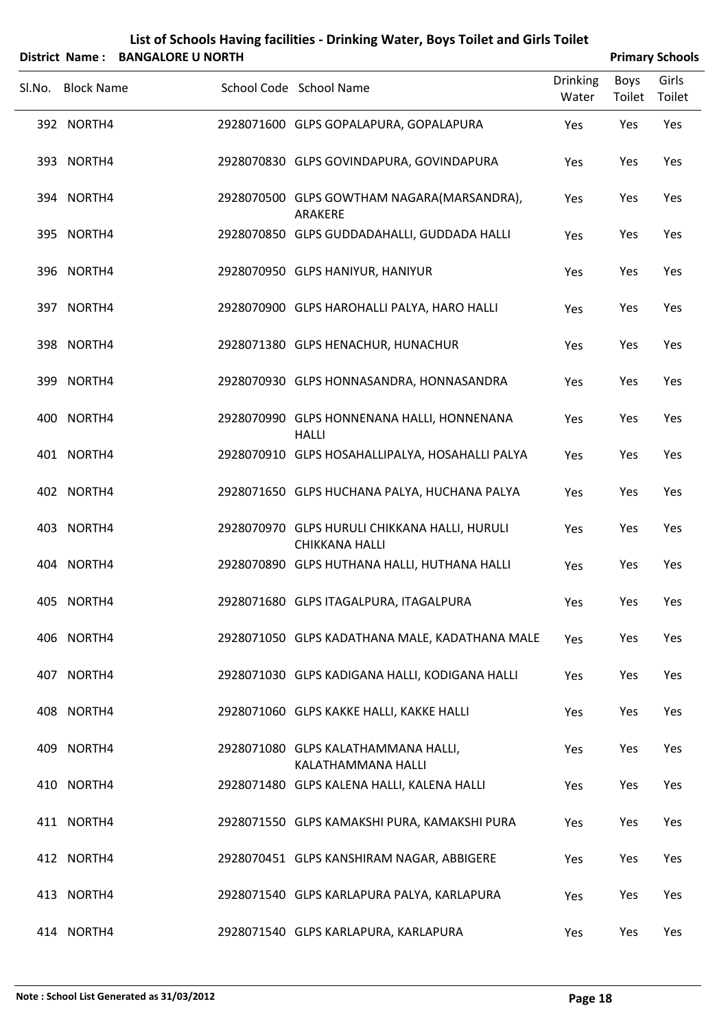|        |                   | District Name: BANGALORE U NORTH |                                                                        |                          |                | <b>Primary Schools</b> |
|--------|-------------------|----------------------------------|------------------------------------------------------------------------|--------------------------|----------------|------------------------|
| Sl.No. | <b>Block Name</b> |                                  | School Code School Name                                                | <b>Drinking</b><br>Water | Boys<br>Toilet | Girls<br>Toilet        |
|        | 392 NORTH4        |                                  | 2928071600 GLPS GOPALAPURA, GOPALAPURA                                 | Yes                      | Yes            | Yes                    |
|        | 393 NORTH4        |                                  | 2928070830 GLPS GOVINDAPURA, GOVINDAPURA                               | Yes                      | Yes            | Yes                    |
|        | 394 NORTH4        |                                  | 2928070500 GLPS GOWTHAM NAGARA(MARSANDRA),<br>ARAKERE                  | Yes                      | Yes            | Yes                    |
|        | 395 NORTH4        |                                  | 2928070850 GLPS GUDDADAHALLI, GUDDADA HALLI                            | Yes                      | Yes            | Yes                    |
|        | 396 NORTH4        |                                  | 2928070950 GLPS HANIYUR, HANIYUR                                       | Yes                      | Yes            | Yes                    |
|        | 397 NORTH4        |                                  | 2928070900 GLPS HAROHALLI PALYA, HARO HALLI                            | Yes                      | Yes            | Yes                    |
|        | 398 NORTH4        |                                  | 2928071380 GLPS HENACHUR, HUNACHUR                                     | Yes                      | Yes            | Yes                    |
|        | 399 NORTH4        |                                  | 2928070930 GLPS HONNASANDRA, HONNASANDRA                               | Yes                      | Yes            | Yes                    |
|        | 400 NORTH4        |                                  | 2928070990 GLPS HONNENANA HALLI, HONNENANA<br><b>HALLI</b>             | Yes                      | Yes            | Yes                    |
|        | 401 NORTH4        |                                  | 2928070910 GLPS HOSAHALLIPALYA, HOSAHALLI PALYA                        | Yes                      | Yes            | Yes                    |
|        | 402 NORTH4        |                                  | 2928071650 GLPS HUCHANA PALYA, HUCHANA PALYA                           | Yes                      | Yes            | Yes                    |
|        | 403 NORTH4        |                                  | 2928070970 GLPS HURULI CHIKKANA HALLI, HURULI<br><b>CHIKKANA HALLI</b> | Yes                      | Yes            | Yes                    |
|        | 404 NORTH4        |                                  | 2928070890 GLPS HUTHANA HALLI, HUTHANA HALLI                           | Yes                      | Yes            | Yes                    |
|        | 405 NORTH4        |                                  | 2928071680 GLPS ITAGALPURA, ITAGALPURA                                 | Yes                      | Yes            | Yes                    |
|        | 406 NORTH4        |                                  | 2928071050 GLPS KADATHANA MALE, KADATHANA MALE                         | Yes                      | Yes            | Yes                    |
|        | 407 NORTH4        |                                  | 2928071030 GLPS KADIGANA HALLI, KODIGANA HALLI                         | Yes                      | Yes            | Yes                    |
|        | 408 NORTH4        |                                  | 2928071060 GLPS KAKKE HALLI, KAKKE HALLI                               | Yes                      | Yes            | Yes                    |
|        | 409 NORTH4        |                                  | 2928071080 GLPS KALATHAMMANA HALLI,<br>KALATHAMMANA HALLI              | Yes                      | Yes            | Yes                    |
|        | 410 NORTH4        |                                  | 2928071480 GLPS KALENA HALLI, KALENA HALLI                             | Yes                      | Yes            | Yes                    |
|        | 411 NORTH4        |                                  | 2928071550 GLPS KAMAKSHI PURA, KAMAKSHI PURA                           | Yes                      | Yes            | Yes                    |
|        | 412 NORTH4        |                                  | 2928070451 GLPS KANSHIRAM NAGAR, ABBIGERE                              | Yes                      | Yes            | Yes                    |
|        | 413 NORTH4        |                                  | 2928071540 GLPS KARLAPURA PALYA, KARLAPURA                             | Yes                      | Yes            | Yes                    |
|        | 414 NORTH4        |                                  | 2928071540 GLPS KARLAPURA, KARLAPURA                                   | Yes                      | Yes            | Yes                    |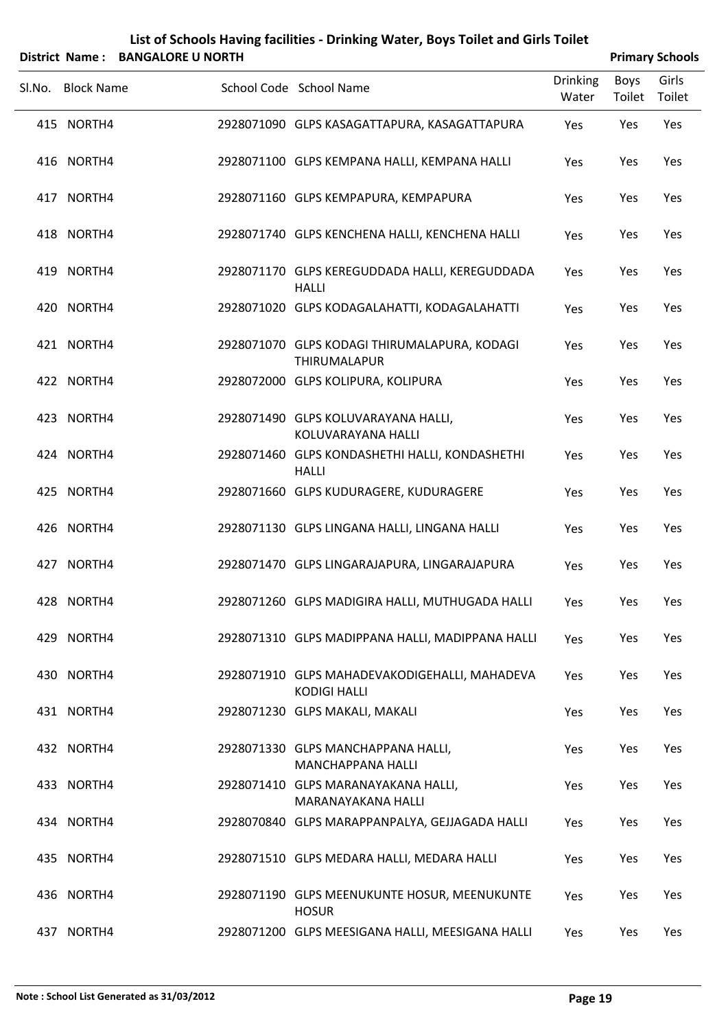| List of Schools Having facilities - Drinking Water, Boys Toilet and Girls Toilet |                        |
|----------------------------------------------------------------------------------|------------------------|
| District Name: RANGALORE II NORTH                                                | <b>Primary Schools</b> |

|     | District Name: BANGALORE O NORTH |                                                                      |                          |                | <b>Primary Schools</b> |
|-----|----------------------------------|----------------------------------------------------------------------|--------------------------|----------------|------------------------|
|     | Sl.No. Block Name                | School Code School Name                                              | <b>Drinking</b><br>Water | Boys<br>Toilet | Girls<br>Toilet        |
|     | 415 NORTH4                       | 2928071090 GLPS KASAGATTAPURA, KASAGATTAPURA                         | Yes                      | Yes            | Yes                    |
|     | 416 NORTH4                       | 2928071100 GLPS KEMPANA HALLI, KEMPANA HALLI                         | Yes                      | Yes            | Yes                    |
|     | 417 NORTH4                       | 2928071160 GLPS KEMPAPURA, KEMPAPURA                                 | Yes                      | Yes            | Yes                    |
|     | 418 NORTH4                       | 2928071740 GLPS KENCHENA HALLI, KENCHENA HALLI                       | Yes                      | Yes            | Yes                    |
|     | 419 NORTH4                       | 2928071170 GLPS KEREGUDDADA HALLI, KEREGUDDADA<br><b>HALLI</b>       | Yes                      | Yes            | Yes                    |
|     | 420 NORTH4                       | 2928071020 GLPS KODAGALAHATTI, KODAGALAHATTI                         | Yes                      | Yes            | Yes                    |
|     | 421 NORTH4                       | 2928071070 GLPS KODAGI THIRUMALAPURA, KODAGI<br><b>THIRUMALAPUR</b>  | Yes                      | Yes            | Yes                    |
|     | 422 NORTH4                       | 2928072000 GLPS KOLIPURA, KOLIPURA                                   | Yes                      | Yes            | Yes                    |
|     | 423 NORTH4                       | 2928071490 GLPS KOLUVARAYANA HALLI,<br>KOLUVARAYANA HALLI            | Yes                      | Yes            | Yes                    |
|     | 424 NORTH4                       | 2928071460 GLPS KONDASHETHI HALLI, KONDASHETHI<br><b>HALLI</b>       | Yes                      | Yes            | Yes                    |
|     | 425 NORTH4                       | 2928071660 GLPS KUDURAGERE, KUDURAGERE                               | Yes                      | Yes            | Yes                    |
|     | 426 NORTH4                       | 2928071130 GLPS LINGANA HALLI, LINGANA HALLI                         | Yes                      | Yes            | Yes                    |
|     | 427 NORTH4                       | 2928071470 GLPS LINGARAJAPURA, LINGARAJAPURA                         | Yes                      | Yes            | Yes                    |
|     | 428 NORTH4                       | 2928071260 GLPS MADIGIRA HALLI, MUTHUGADA HALLI                      | Yes                      | Yes            | Yes                    |
|     | 429 NORTH4                       | 2928071310 GLPS MADIPPANA HALLI, MADIPPANA HALLI                     | Yes                      | Yes            | Yes                    |
|     | 430 NORTH4                       | 2928071910 GLPS MAHADEVAKODIGEHALLI, MAHADEVA<br><b>KODIGI HALLI</b> | Yes                      | Yes            | Yes                    |
|     | 431 NORTH4                       | 2928071230 GLPS MAKALI, MAKALI                                       | Yes                      | Yes            | Yes                    |
|     | 432 NORTH4                       | 2928071330 GLPS MANCHAPPANA HALLI,<br>MANCHAPPANA HALLI              | Yes                      | Yes            | Yes                    |
|     | 433 NORTH4                       | 2928071410 GLPS MARANAYAKANA HALLI,<br>MARANAYAKANA HALLI            | Yes                      | Yes            | Yes                    |
|     | 434 NORTH4                       | 2928070840 GLPS MARAPPANPALYA, GEJJAGADA HALLI                       | Yes                      | Yes            | Yes                    |
|     | 435 NORTH4                       | 2928071510 GLPS MEDARA HALLI, MEDARA HALLI                           | Yes                      | Yes            | Yes                    |
|     | 436 NORTH4                       | 2928071190 GLPS MEENUKUNTE HOSUR, MEENUKUNTE<br><b>HOSUR</b>         | Yes                      | Yes            | Yes                    |
| 437 | NORTH4                           | 2928071200 GLPS MEESIGANA HALLI, MEESIGANA HALLI                     | Yes                      | Yes            | Yes                    |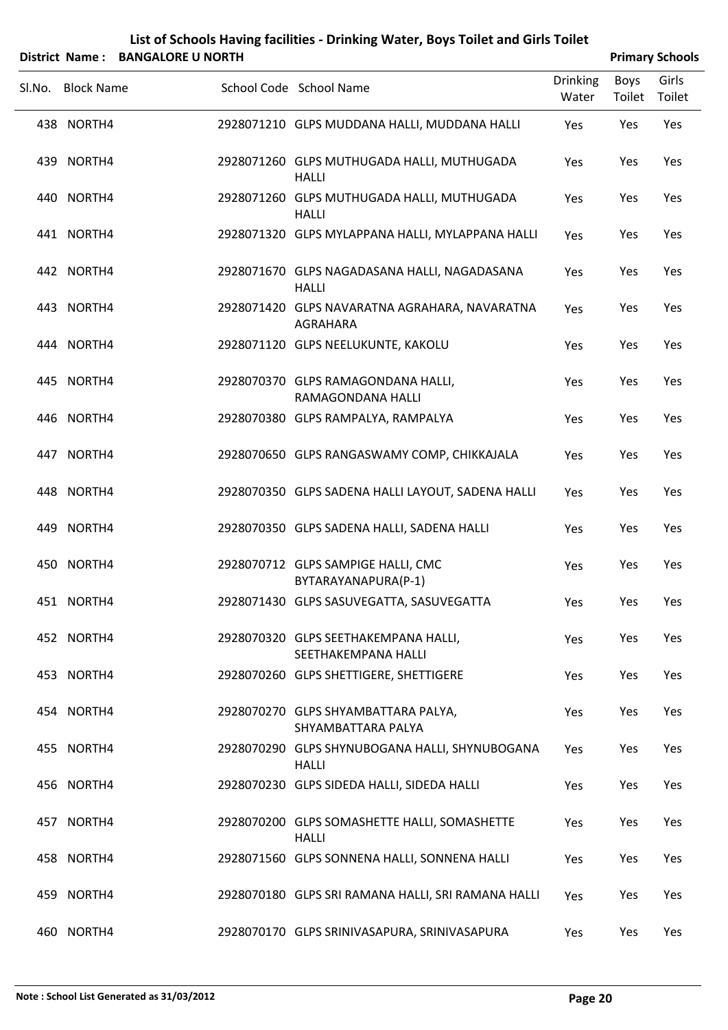|        |                   | District Name: BANGALORE U NORTH |                                                                  |                          |                | <b>Primary Schools</b> |
|--------|-------------------|----------------------------------|------------------------------------------------------------------|--------------------------|----------------|------------------------|
| Sl.No. | <b>Block Name</b> |                                  | School Code School Name                                          | <b>Drinking</b><br>Water | Boys<br>Toilet | Girls<br>Toilet        |
|        | 438 NORTH4        |                                  | 2928071210 GLPS MUDDANA HALLI, MUDDANA HALLI                     | Yes                      | Yes            | Yes                    |
|        | 439 NORTH4        |                                  | 2928071260 GLPS MUTHUGADA HALLI, MUTHUGADA<br><b>HALLI</b>       | Yes                      | Yes            | Yes                    |
|        | 440 NORTH4        |                                  | 2928071260 GLPS MUTHUGADA HALLI, MUTHUGADA<br><b>HALLI</b>       | Yes                      | Yes            | Yes                    |
|        | 441 NORTH4        |                                  | 2928071320 GLPS MYLAPPANA HALLI, MYLAPPANA HALLI                 | Yes                      | Yes            | Yes                    |
|        | 442 NORTH4        |                                  | 2928071670 GLPS NAGADASANA HALLI, NAGADASANA<br><b>HALLI</b>     | Yes                      | Yes            | Yes                    |
|        | 443 NORTH4        |                                  | 2928071420 GLPS NAVARATNA AGRAHARA, NAVARATNA<br><b>AGRAHARA</b> | Yes                      | Yes            | Yes                    |
|        | 444 NORTH4        |                                  | 2928071120 GLPS NEELUKUNTE, KAKOLU                               | Yes                      | Yes            | Yes                    |
|        | 445 NORTH4        |                                  | 2928070370 GLPS RAMAGONDANA HALLI,<br>RAMAGONDANA HALLI          | Yes                      | Yes            | Yes                    |
|        | 446 NORTH4        |                                  | 2928070380 GLPS RAMPALYA, RAMPALYA                               | Yes                      | Yes            | Yes                    |
|        | 447 NORTH4        |                                  | 2928070650 GLPS RANGASWAMY COMP, CHIKKAJALA                      | Yes                      | Yes            | Yes                    |
|        | 448 NORTH4        |                                  | 2928070350 GLPS SADENA HALLI LAYOUT, SADENA HALLI                | Yes                      | Yes            | Yes                    |
|        | 449 NORTH4        |                                  | 2928070350 GLPS SADENA HALLI, SADENA HALLI                       | Yes                      | Yes            | Yes                    |
|        | 450 NORTH4        |                                  | 2928070712 GLPS SAMPIGE HALLI, CMC<br>BYTARAYANAPURA(P-1)        | Yes                      | Yes            | Yes                    |
|        | 451 NORTH4        |                                  | 2928071430 GLPS SASUVEGATTA, SASUVEGATTA                         | Yes                      | Yes            | Yes                    |
|        | 452 NORTH4        |                                  | 2928070320 GLPS SEETHAKEMPANA HALLI,<br>SEETHAKEMPANA HALLI      | Yes                      | Yes            | Yes                    |
|        | 453 NORTH4        |                                  | 2928070260 GLPS SHETTIGERE, SHETTIGERE                           | Yes                      | Yes            | Yes                    |
|        | 454 NORTH4        |                                  | 2928070270 GLPS SHYAMBATTARA PALYA,<br>SHYAMBATTARA PALYA        | Yes                      | Yes            | Yes                    |
|        | 455 NORTH4        |                                  | 2928070290 GLPS SHYNUBOGANA HALLI, SHYNUBOGANA<br><b>HALLI</b>   | Yes                      | Yes            | Yes                    |
|        | 456 NORTH4        |                                  | 2928070230 GLPS SIDEDA HALLI, SIDEDA HALLI                       | Yes                      | Yes            | Yes                    |
|        | 457 NORTH4        |                                  | 2928070200 GLPS SOMASHETTE HALLI, SOMASHETTE<br><b>HALLI</b>     | Yes                      | Yes            | Yes                    |
|        | 458 NORTH4        |                                  | 2928071560 GLPS SONNENA HALLI, SONNENA HALLI                     | Yes                      | Yes            | Yes                    |
|        | 459 NORTH4        |                                  | 2928070180 GLPS SRI RAMANA HALLI, SRI RAMANA HALLI               | Yes                      | Yes            | Yes                    |
|        | 460 NORTH4        |                                  | 2928070170 GLPS SRINIVASAPURA, SRINIVASAPURA                     | Yes                      | Yes            | Yes                    |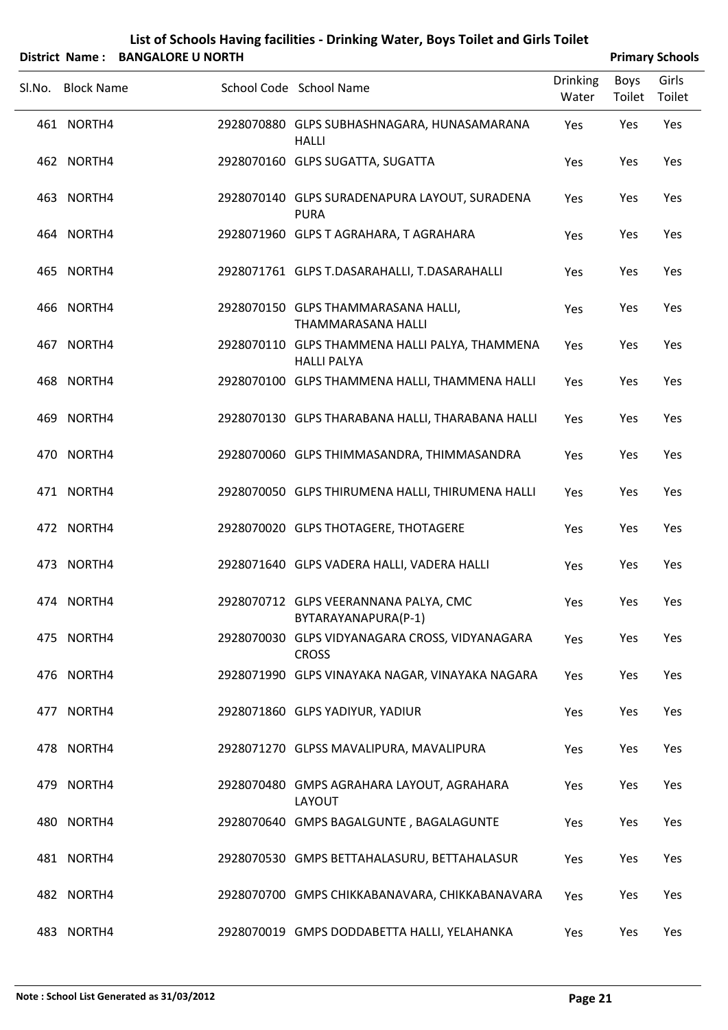| List of Schools Having facilities - Drinking Water, Boys Toilet and Girls Toilet |                        |
|----------------------------------------------------------------------------------|------------------------|
| District Name: RANGALORE II NORTH                                                | <b>Primary Schools</b> |

| DISTRICT NAME: DANGALONE O NONTH |                                                                      |                          |                | <b>PHILIPS</b> SUIDUIS |
|----------------------------------|----------------------------------------------------------------------|--------------------------|----------------|------------------------|
| Sl.No. Block Name                | School Code School Name                                              | <b>Drinking</b><br>Water | Boys<br>Toilet | Girls<br>Toilet        |
| 461 NORTH4                       | 2928070880 GLPS SUBHASHNAGARA, HUNASAMARANA<br><b>HALLI</b>          | Yes                      | Yes            | Yes                    |
| 462 NORTH4                       | 2928070160 GLPS SUGATTA, SUGATTA                                     | Yes                      | Yes            | Yes                    |
| 463 NORTH4                       | 2928070140 GLPS SURADENAPURA LAYOUT, SURADENA<br><b>PURA</b>         | Yes                      | Yes            | Yes                    |
| 464 NORTH4                       | 2928071960 GLPS T AGRAHARA, T AGRAHARA                               | Yes                      | Yes            | Yes                    |
| 465 NORTH4                       | 2928071761 GLPS T.DASARAHALLI, T.DASARAHALLI                         | Yes                      | Yes            | Yes                    |
| 466 NORTH4                       | 2928070150 GLPS THAMMARASANA HALLI,<br><b>THAMMARASANA HALLI</b>     | Yes                      | Yes            | Yes                    |
| 467 NORTH4                       | 2928070110 GLPS THAMMENA HALLI PALYA, THAMMENA<br><b>HALLI PALYA</b> | Yes                      | Yes            | Yes                    |
| 468 NORTH4                       | 2928070100 GLPS THAMMENA HALLI, THAMMENA HALLI                       | Yes                      | Yes            | Yes                    |
| 469 NORTH4                       | 2928070130 GLPS THARABANA HALLI, THARABANA HALLI                     | Yes                      | Yes            | Yes                    |
| 470 NORTH4                       | 2928070060 GLPS THIMMASANDRA, THIMMASANDRA                           | Yes                      | Yes            | Yes                    |
| 471 NORTH4                       | 2928070050 GLPS THIRUMENA HALLI, THIRUMENA HALLI                     | Yes                      | Yes            | Yes                    |
| 472 NORTH4                       | 2928070020 GLPS THOTAGERE, THOTAGERE                                 | Yes                      | Yes            | Yes                    |
| 473 NORTH4                       | 2928071640 GLPS VADERA HALLI, VADERA HALLI                           | Yes                      | Yes            | Yes                    |
| 474 NORTH4                       | 2928070712 GLPS VEERANNANA PALYA, CMC<br>BYTARAYANAPURA(P-1)         | Yes                      | Yes            | Yes                    |
| 475 NORTH4                       | 2928070030 GLPS VIDYANAGARA CROSS, VIDYANAGARA<br><b>CROSS</b>       | Yes                      | Yes            | Yes                    |
| 476 NORTH4                       | 2928071990 GLPS VINAYAKA NAGAR, VINAYAKA NAGARA                      | Yes                      | Yes            | Yes                    |
| 477 NORTH4                       | 2928071860 GLPS YADIYUR, YADIUR                                      | Yes                      | Yes            | Yes                    |
| 478 NORTH4                       | 2928071270 GLPSS MAVALIPURA, MAVALIPURA                              | Yes                      | Yes            | Yes                    |
| 479 NORTH4                       | 2928070480 GMPS AGRAHARA LAYOUT, AGRAHARA<br>LAYOUT                  | Yes                      | Yes            | Yes                    |
| 480 NORTH4                       | 2928070640 GMPS BAGALGUNTE, BAGALAGUNTE                              | Yes                      | Yes            | Yes                    |
| 481 NORTH4                       | 2928070530 GMPS BETTAHALASURU, BETTAHALASUR                          | Yes                      | Yes            | Yes                    |
| 482 NORTH4                       | 2928070700 GMPS CHIKKABANAVARA, CHIKKABANAVARA                       | Yes                      | Yes            | Yes                    |
| 483 NORTH4                       | 2928070019 GMPS DODDABETTA HALLI, YELAHANKA                          | Yes                      | Yes            | Yes                    |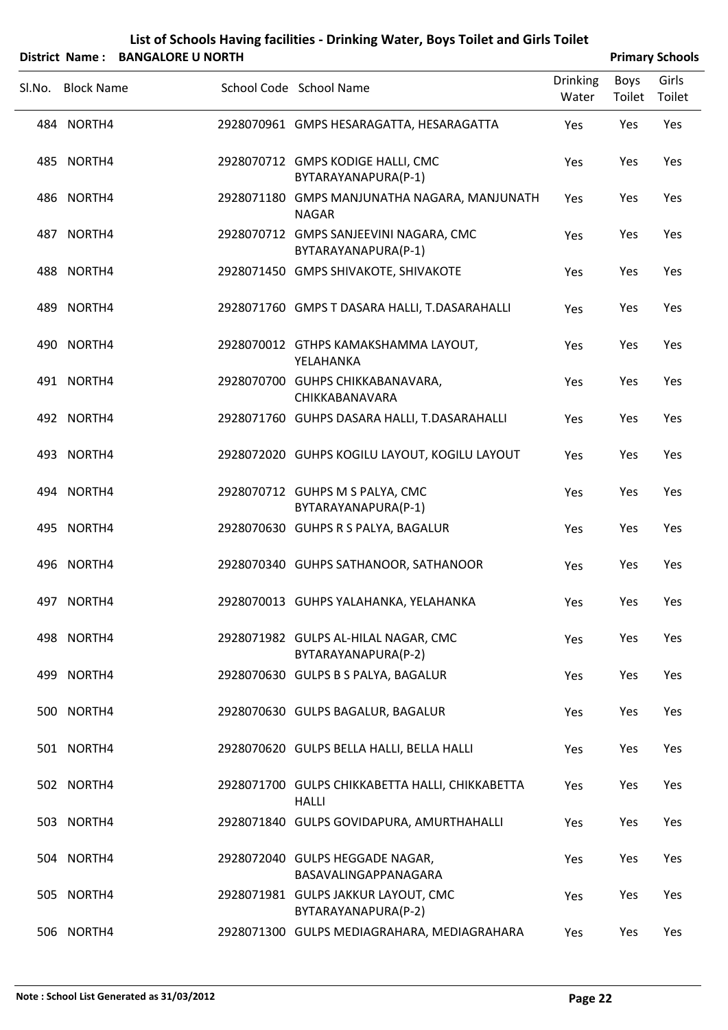|        |                   | District Name: BANGALORE O NORTH |                                                                 |                          |                       | <b>Primary Schools</b> |
|--------|-------------------|----------------------------------|-----------------------------------------------------------------|--------------------------|-----------------------|------------------------|
| Sl.No. | <b>Block Name</b> |                                  | School Code School Name                                         | <b>Drinking</b><br>Water | <b>Boys</b><br>Toilet | Girls<br>Toilet        |
|        | 484 NORTH4        |                                  | 2928070961 GMPS HESARAGATTA, HESARAGATTA                        | Yes                      | Yes                   | Yes                    |
|        | 485 NORTH4        |                                  | 2928070712 GMPS KODIGE HALLI, CMC<br>BYTARAYANAPURA(P-1)        | Yes                      | Yes                   | Yes                    |
|        | 486 NORTH4        |                                  | 2928071180 GMPS MANJUNATHA NAGARA, MANJUNATH<br><b>NAGAR</b>    | Yes                      | Yes                   | Yes                    |
|        | 487 NORTH4        |                                  | 2928070712 GMPS SANJEEVINI NAGARA, CMC<br>BYTARAYANAPURA(P-1)   | Yes                      | Yes                   | Yes                    |
|        | 488 NORTH4        |                                  | 2928071450 GMPS SHIVAKOTE, SHIVAKOTE                            | Yes                      | Yes                   | Yes                    |
|        | 489 NORTH4        |                                  | 2928071760 GMPS T DASARA HALLI, T.DASARAHALLI                   | Yes                      | Yes                   | Yes                    |
|        | 490 NORTH4        |                                  | 2928070012 GTHPS KAMAKSHAMMA LAYOUT,<br>YELAHANKA               | Yes                      | Yes                   | Yes                    |
|        | 491 NORTH4        |                                  | 2928070700 GUHPS CHIKKABANAVARA,<br>CHIKKABANAVARA              | Yes                      | Yes                   | Yes                    |
|        | 492 NORTH4        |                                  | 2928071760 GUHPS DASARA HALLI, T.DASARAHALLI                    | Yes                      | Yes                   | Yes                    |
|        | 493 NORTH4        |                                  | 2928072020 GUHPS KOGILU LAYOUT, KOGILU LAYOUT                   | Yes                      | Yes                   | Yes                    |
|        | 494 NORTH4        |                                  | 2928070712 GUHPS M S PALYA, CMC<br>BYTARAYANAPURA(P-1)          | Yes                      | Yes                   | Yes                    |
|        | 495 NORTH4        |                                  | 2928070630 GUHPS R S PALYA, BAGALUR                             | Yes                      | Yes                   | Yes                    |
|        | 496 NORTH4        |                                  | 2928070340 GUHPS SATHANOOR, SATHANOOR                           | Yes                      | Yes                   | Yes                    |
| 497    | NORTH4            |                                  | 2928070013 GUHPS YALAHANKA, YELAHANKA                           | Yes                      | Yes                   | Yes                    |
|        | 498 NORTH4        |                                  | 2928071982 GULPS AL-HILAL NAGAR, CMC<br>BYTARAYANAPURA(P-2)     | Yes                      | Yes                   | Yes                    |
|        | 499 NORTH4        |                                  | 2928070630 GULPS B S PALYA, BAGALUR                             | Yes                      | Yes                   | Yes                    |
|        | 500 NORTH4        |                                  | 2928070630 GULPS BAGALUR, BAGALUR                               | Yes                      | Yes                   | Yes                    |
|        | 501 NORTH4        |                                  | 2928070620 GULPS BELLA HALLI, BELLA HALLI                       | Yes                      | Yes                   | Yes                    |
|        | 502 NORTH4        |                                  | 2928071700 GULPS CHIKKABETTA HALLI, CHIKKABETTA<br><b>HALLI</b> | Yes                      | Yes                   | Yes                    |
|        | 503 NORTH4        |                                  | 2928071840 GULPS GOVIDAPURA, AMURTHAHALLI                       | Yes                      | Yes                   | Yes                    |
|        | 504 NORTH4        |                                  | 2928072040 GULPS HEGGADE NAGAR,<br>BASAVALINGAPPANAGARA         | Yes                      | Yes                   | Yes                    |
|        | 505 NORTH4        |                                  | 2928071981 GULPS JAKKUR LAYOUT, CMC                             | Yes                      | Yes                   | Yes                    |

BYTARAYANAPURA(P‐2) 506 NORTH4 2928071300 GULPS MEDIAGRAHARA, MEDIAGRAHARA Yes Yes Yes

#### **List of Schools Having facilities ‐ Drinking Water, Boys Toilet and Girls Toilet District** Name: **BANGALORE U NORTH Primary** Schools